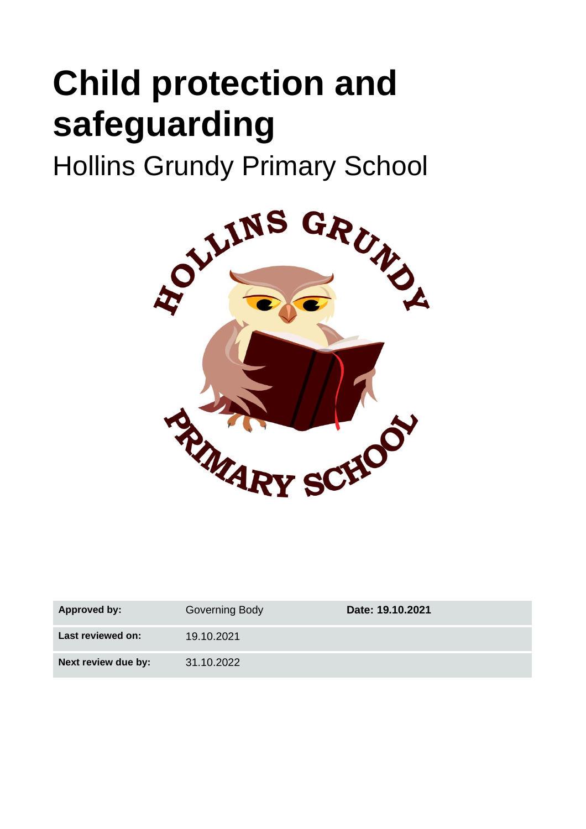# **Child protection and safeguarding**



| <b>Approved by:</b> | Governing Body | Date: 19.10.2021 |
|---------------------|----------------|------------------|
| Last reviewed on:   | 19.10.2021     |                  |
| Next review due by: | 31.10.2022     |                  |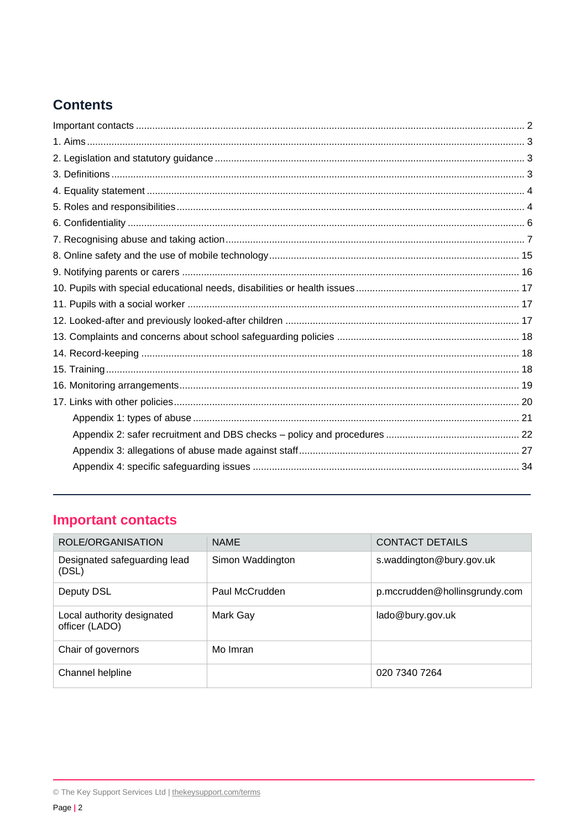# **Contents**

# <span id="page-1-0"></span>**Important contacts**

| ROLE/ORGANISATION                            | <b>NAME</b>      | <b>CONTACT DETAILS</b>        |
|----------------------------------------------|------------------|-------------------------------|
| Designated safeguarding lead<br>(DSL)        | Simon Waddington | s.waddington@bury.gov.uk      |
| Deputy DSL                                   | Paul McCrudden   | p.mccrudden@hollinsgrundy.com |
| Local authority designated<br>officer (LADO) | Mark Gay         | lado@bury.gov.uk              |
| Chair of governors                           | Mo Imran         |                               |
| Channel helpline                             |                  | 020 7340 7264                 |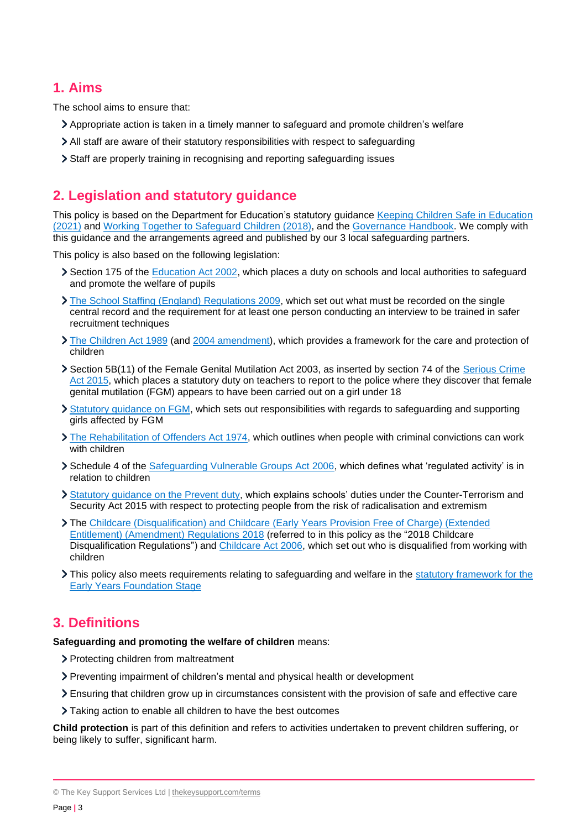# <span id="page-2-0"></span>**1. Aims**

The school aims to ensure that:

- Appropriate action is taken in a timely manner to safeguard and promote children's welfare
- All staff are aware of their statutory responsibilities with respect to safeguarding
- Staff are properly training in recognising and reporting safeguarding issues

# <span id="page-2-1"></span>**2. Legislation and statutory guidance**

This policy is based on the Department for Education's statutory guidance [Keeping Children Safe in Education](https://www.gov.uk/government/publications/keeping-children-safe-in-education--2)  [\(2021\)](https://www.gov.uk/government/publications/keeping-children-safe-in-education--2) and [Working Together to Safeguard Children \(2018\),](https://www.gov.uk/government/publications/working-together-to-safeguard-children--2) and the [Governance Handbook.](https://www.gov.uk/government/publications/governance-handbook) We comply with this guidance and the arrangements agreed and published by our 3 local safeguarding partners.

This policy is also based on the following legislation:

- Section 175 of the [Education Act 2002,](http://www.legislation.gov.uk/ukpga/2002/32/section/175) which places a duty on schools and local authorities to safeguard and promote the welfare of pupils
- [The School Staffing \(England\) Regulations 2009,](http://www.legislation.gov.uk/uksi/2009/2680/contents/made) which set out what must be recorded on the single central record and the requirement for at least one person conducting an interview to be trained in safer recruitment techniques
- [The Children Act 1989](http://www.legislation.gov.uk/ukpga/1989/41) (and [2004 amendment\)](http://www.legislation.gov.uk/ukpga/2004/31/contents), which provides a framework for the care and protection of children
- Section 5B(11) of the Female Genital Mutilation Act 2003, as inserted by section 74 of the Serious Crime [Act 2015,](http://www.legislation.gov.uk/ukpga/2015/9/part/5/crossheading/female-genital-mutilation) which places a statutory duty on teachers to report to the police where they discover that female genital mutilation (FGM) appears to have been carried out on a girl under 18
- [Statutory guidance on FGM,](https://www.gov.uk/government/publications/multi-agency-statutory-guidance-on-female-genital-mutilation) which sets out responsibilities with regards to safeguarding and supporting girls affected by FGM
- [The Rehabilitation of Offenders Act 1974,](http://www.legislation.gov.uk/ukpga/1974/53) which outlines when people with criminal convictions can work with children
- Schedule 4 of the [Safeguarding Vulnerable Groups Act 2006,](http://www.legislation.gov.uk/ukpga/2006/47/schedule/4) which defines what 'regulated activity' is in relation to children
- [Statutory guidance on the Prevent duty,](https://www.gov.uk/government/publications/prevent-duty-guidance) which explains schools' duties under the Counter-Terrorism and Security Act 2015 with respect to protecting people from the risk of radicalisation and extremism
- The [Childcare \(Disqualification\) and Childcare \(Early Years Provision Free of Charge\) \(Extended](http://www.legislation.gov.uk/uksi/2018/794/contents/made)  [Entitlement\) \(Amendment\) Regulations 2018](http://www.legislation.gov.uk/uksi/2018/794/contents/made) (referred to in this policy as the "2018 Childcare Disqualification Regulations") and [Childcare Act 2006,](http://www.legislation.gov.uk/ukpga/2006/21/contents) which set out who is disqualified from working with children
- This policy also meets requirements relating to safeguarding and welfare in the [statutory framework for the](https://www.gov.uk/government/publications/early-years-foundation-stage-framework--2)  [Early Years Foundation Stage](https://www.gov.uk/government/publications/early-years-foundation-stage-framework--2)

# <span id="page-2-2"></span>**3. Definitions**

**Safeguarding and promoting the welfare of children** means:

- > Protecting children from maltreatment
- Preventing impairment of children's mental and physical health or development
- Ensuring that children grow up in circumstances consistent with the provision of safe and effective care
- Taking action to enable all children to have the best outcomes

**Child protection** is part of this definition and refers to activities undertaken to prevent children suffering, or being likely to suffer, significant harm.

<sup>©</sup> The Key Support Services Ltd | [thekeysupport.com/terms](https://thekeysupport.com/terms-of-use)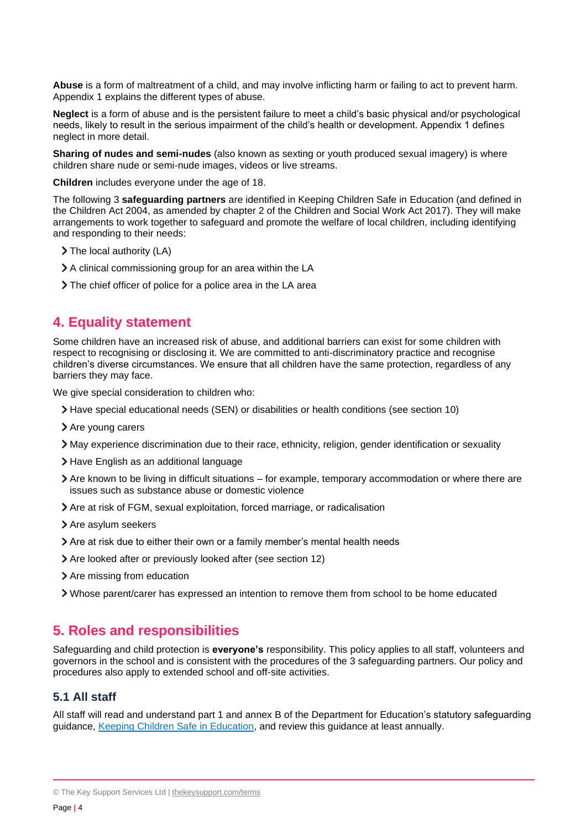**Abuse** is a form of maltreatment of a child, and may involve inflicting harm or failing to act to prevent harm. Appendix 1 explains the different types of abuse.

**Neglect** is a form of abuse and is the persistent failure to meet a child's basic physical and/or psychological needs, likely to result in the serious impairment of the child's health or development. Appendix 1 defines neglect in more detail.

**Sharing of nudes and semi-nudes** (also known as sexting or youth produced sexual imagery) is where children share nude or semi-nude images, videos or live streams.

**Children** includes everyone under the age of 18.

The following 3 **safeguarding partners** are identified in Keeping Children Safe in Education (and defined in the Children Act 2004, as amended by chapter 2 of the Children and Social Work Act 2017). They will make arrangements to work together to safeguard and promote the welfare of local children, including identifying and responding to their needs:

- > The local authority (LA)
- A clinical commissioning group for an area within the LA
- > The chief officer of police for a police area in the LA area

# <span id="page-3-0"></span>**4. Equality statement**

Some children have an increased risk of abuse, and additional barriers can exist for some children with respect to recognising or disclosing it. We are committed to anti-discriminatory practice and recognise children's diverse circumstances. We ensure that all children have the same protection, regardless of any barriers they may face.

We give special consideration to children who:

- Have special educational needs (SEN) or disabilities or health conditions (see section 10)
- > Are young carers
- May experience discrimination due to their race, ethnicity, religion, gender identification or sexuality
- > Have English as an additional language
- Are known to be living in difficult situations for example, temporary accommodation or where there are issues such as substance abuse or domestic violence
- Are at risk of FGM, sexual exploitation, forced marriage, or radicalisation
- > Are asylum seekers
- Are at risk due to either their own or a family member's mental health needs
- Are looked after or previously looked after (see section 12)
- > Are missing from education
- Whose parent/carer has expressed an intention to remove them from school to be home educated

# <span id="page-3-1"></span>**5. Roles and responsibilities**

Safeguarding and child protection is **everyone's** responsibility. This policy applies to all staff, volunteers and governors in the school and is consistent with the procedures of the 3 safeguarding partners. Our policy and procedures also apply to extended school and off-site activities.

#### **5.1 All staff**

All staff will read and understand part 1 and annex B of the Department for Education's statutory safeguarding guidance, [Keeping Children Safe in Education,](https://www.gov.uk/government/publications/keeping-children-safe-in-education--2) and review this guidance at least annually.

<sup>©</sup> The Key Support Services Ltd | [thekeysupport.com/terms](https://thekeysupport.com/terms-of-use)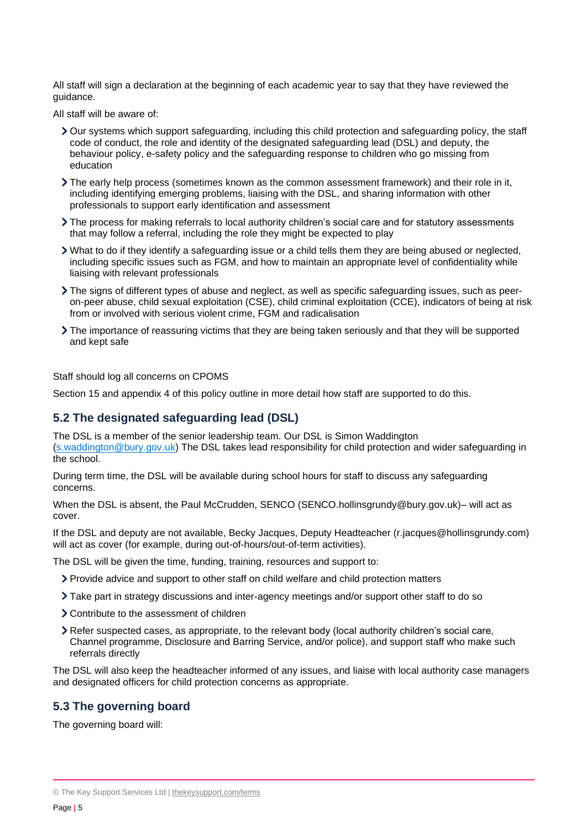All staff will sign a declaration at the beginning of each academic year to say that they have reviewed the guidance.

All staff will be aware of:

- Our systems which support safeguarding, including this child protection and safeguarding policy, the staff code of conduct, the role and identity of the designated safeguarding lead (DSL) and deputy, the behaviour policy, e-safety policy and the safeguarding response to children who go missing from education
- The early help process (sometimes known as the common assessment framework) and their role in it, including identifying emerging problems, liaising with the DSL, and sharing information with other professionals to support early identification and assessment
- The process for making referrals to local authority children's social care and for statutory assessments that may follow a referral, including the role they might be expected to play
- What to do if they identify a safeguarding issue or a child tells them they are being abused or neglected, including specific issues such as FGM, and how to maintain an appropriate level of confidentiality while liaising with relevant professionals
- The signs of different types of abuse and neglect, as well as specific safeguarding issues, such as peeron-peer abuse, child sexual exploitation (CSE), child criminal exploitation (CCE), indicators of being at risk from or involved with serious violent crime, FGM and radicalisation
- The importance of reassuring victims that they are being taken seriously and that they will be supported and kept safe

Staff should log all concerns on CPOMS

Section 15 and appendix 4 of this policy outline in more detail how staff are supported to do this.

# **5.2 The designated safeguarding lead (DSL)**

The DSL is a member of the senior leadership team. Our DSL is Simon Waddington [\(s.waddington@bury.gov.uk\)](mailto:s.waddington@bury.gov.uk) The DSL takes lead responsibility for child protection and wider safeguarding in the school.

During term time, the DSL will be available during school hours for staff to discuss any safeguarding concerns.

When the DSL is absent, the Paul McCrudden, SENCO (SENCO.hollinsgrundy@bury.gov.uk)– will act as cover.

If the DSL and deputy are not available, Becky Jacques, Deputy Headteacher (r.jacques@hollinsgrundy.com) will act as cover (for example, during out-of-hours/out-of-term activities).

The DSL will be given the time, funding, training, resources and support to:

- Provide advice and support to other staff on child welfare and child protection matters
- Take part in strategy discussions and inter-agency meetings and/or support other staff to do so
- Contribute to the assessment of children
- Refer suspected cases, as appropriate, to the relevant body (local authority children's social care, Channel programme, Disclosure and Barring Service, and/or police), and support staff who make such referrals directly

The DSL will also keep the headteacher informed of any issues, and liaise with local authority case managers and designated officers for child protection concerns as appropriate.

#### **5.3 The governing board**

The governing board will:

<sup>©</sup> The Key Support Services Ltd | [thekeysupport.com/terms](https://thekeysupport.com/terms-of-use)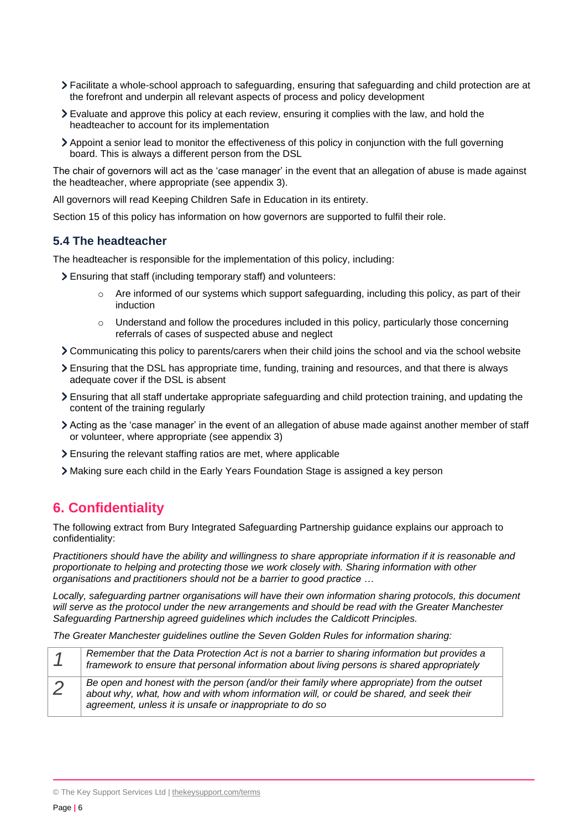- Facilitate a whole-school approach to safeguarding, ensuring that safeguarding and child protection are at the forefront and underpin all relevant aspects of process and policy development
- Evaluate and approve this policy at each review, ensuring it complies with the law, and hold the headteacher to account for its implementation
- Appoint a senior lead to monitor the effectiveness of this policy in conjunction with the full governing board. This is always a different person from the DSL

The chair of governors will act as the 'case manager' in the event that an allegation of abuse is made against the headteacher, where appropriate (see appendix 3).

All governors will read Keeping Children Safe in Education in its entirety.

Section 15 of this policy has information on how governors are supported to fulfil their role.

# **5.4 The headteacher**

The headteacher is responsible for the implementation of this policy, including:

Ensuring that staff (including temporary staff) and volunteers:

- $\circ$  Are informed of our systems which support safeguarding, including this policy, as part of their induction
- $\circ$  Understand and follow the procedures included in this policy, particularly those concerning referrals of cases of suspected abuse and neglect
- Communicating this policy to parents/carers when their child joins the school and via the school website
- Ensuring that the DSL has appropriate time, funding, training and resources, and that there is always adequate cover if the DSL is absent
- Ensuring that all staff undertake appropriate safeguarding and child protection training, and updating the content of the training regularly
- Acting as the 'case manager' in the event of an allegation of abuse made against another member of staff or volunteer, where appropriate (see appendix 3)
- Ensuring the relevant staffing ratios are met, where applicable
- Making sure each child in the Early Years Foundation Stage is assigned a key person

# <span id="page-5-0"></span>**6. Confidentiality**

The following extract from Bury Integrated Safeguarding Partnership guidance explains our approach to confidentiality:

*Practitioners should have the ability and willingness to share appropriate information if it is reasonable and proportionate to helping and protecting those we work closely with. Sharing information with other organisations and practitioners should not be a barrier to good practice …*

*Locally, safeguarding partner organisations will have their own information sharing protocols, this document will serve as the protocol under the new arrangements and should be read with the Greater Manchester Safeguarding Partnership agreed guidelines which includes the Caldicott Principles.* 

*The Greater Manchester guidelines outline the Seven Golden Rules for information sharing:*

|   | Remember that the Data Protection Act is not a barrier to sharing information but provides a<br>framework to ensure that personal information about living persons is shared appropriately                                                        |
|---|---------------------------------------------------------------------------------------------------------------------------------------------------------------------------------------------------------------------------------------------------|
| r | Be open and honest with the person (and/or their family where appropriate) from the outset<br>about why, what, how and with whom information will, or could be shared, and seek their<br>agreement, unless it is unsafe or inappropriate to do so |

<sup>©</sup> The Key Support Services Ltd | [thekeysupport.com/terms](https://thekeysupport.com/terms-of-use)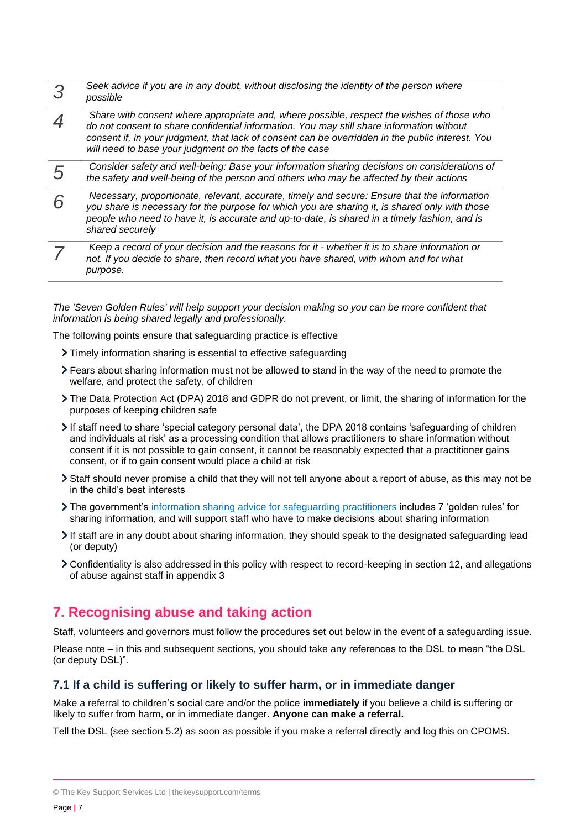|   | Seek advice if you are in any doubt, without disclosing the identity of the person where<br>possible                                                                                                                                                                                                                                                   |
|---|--------------------------------------------------------------------------------------------------------------------------------------------------------------------------------------------------------------------------------------------------------------------------------------------------------------------------------------------------------|
|   | Share with consent where appropriate and, where possible, respect the wishes of those who<br>do not consent to share confidential information. You may still share information without<br>consent if, in your judgment, that lack of consent can be overridden in the public interest. You<br>will need to base your judgment on the facts of the case |
| 5 | Consider safety and well-being: Base your information sharing decisions on considerations of<br>the safety and well-being of the person and others who may be affected by their actions                                                                                                                                                                |
| 6 | Necessary, proportionate, relevant, accurate, timely and secure: Ensure that the information<br>you share is necessary for the purpose for which you are sharing it, is shared only with those<br>people who need to have it, is accurate and up-to-date, is shared in a timely fashion, and is<br>shared securely                                     |
|   | Keep a record of your decision and the reasons for it - whether it is to share information or<br>not. If you decide to share, then record what you have shared, with whom and for what<br>purpose.                                                                                                                                                     |

*The 'Seven Golden Rules' will help support your decision making so you can be more confident that information is being shared legally and professionally.*

The following points ensure that safeguarding practice is effective

- Timely information sharing is essential to effective safeguarding
- Fears about sharing information must not be allowed to stand in the way of the need to promote the welfare, and protect the safety, of children
- The Data Protection Act (DPA) 2018 and GDPR do not prevent, or limit, the sharing of information for the purposes of keeping children safe
- If staff need to share 'special category personal data', the DPA 2018 contains 'safeguarding of children and individuals at risk' as a processing condition that allows practitioners to share information without consent if it is not possible to gain consent, it cannot be reasonably expected that a practitioner gains consent, or if to gain consent would place a child at risk
- Staff should never promise a child that they will not tell anyone about a report of abuse, as this may not be in the child's best interests
- The government's [information sharing advice for safeguarding practitioners](https://www.gov.uk/government/publications/safeguarding-practitioners-information-sharing-advice) includes 7 'golden rules' for sharing information, and will support staff who have to make decisions about sharing information
- If staff are in any doubt about sharing information, they should speak to the designated safeguarding lead (or deputy)
- Confidentiality is also addressed in this policy with respect to record-keeping in section 12, and allegations of abuse against staff in appendix 3

# <span id="page-6-0"></span>**7. Recognising abuse and taking action**

Staff, volunteers and governors must follow the procedures set out below in the event of a safeguarding issue.

Please note – in this and subsequent sections, you should take any references to the DSL to mean "the DSL (or deputy DSL)".

# **7.1 If a child is suffering or likely to suffer harm, or in immediate danger**

Make a referral to children's social care and/or the police **immediately** if you believe a child is suffering or likely to suffer from harm, or in immediate danger. **Anyone can make a referral.**

Tell the DSL (see section 5.2) as soon as possible if you make a referral directly and log this on CPOMS.

<sup>©</sup> The Key Support Services Ltd | [thekeysupport.com/terms](https://thekeysupport.com/terms-of-use)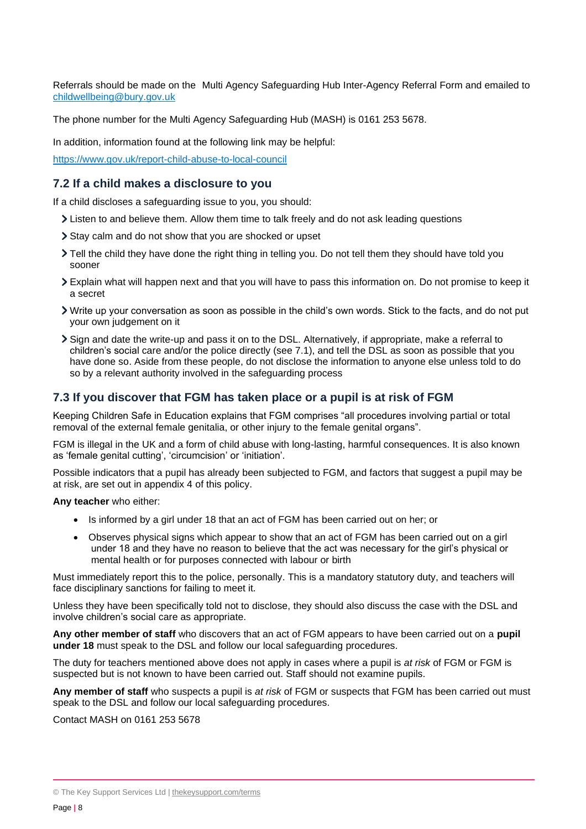Referrals should be made on the Multi Agency Safeguarding Hub Inter-Agency Referral Form and emailed to [childwellbeing@bury.gov.uk](mailto:childwellbeing@bury.gov.uk)

The phone number for the Multi Agency Safeguarding Hub (MASH) is 0161 253 5678.

In addition, information found at the following link may be helpful:

<https://www.gov.uk/report-child-abuse-to-local-council>

## **7.2 If a child makes a disclosure to you**

If a child discloses a safeguarding issue to you, you should:

- Listen to and believe them. Allow them time to talk freely and do not ask leading questions
- Stay calm and do not show that you are shocked or upset
- Tell the child they have done the right thing in telling you. Do not tell them they should have told you sooner
- Explain what will happen next and that you will have to pass this information on. Do not promise to keep it a secret
- Write up your conversation as soon as possible in the child's own words. Stick to the facts, and do not put your own judgement on it
- Sign and date the write-up and pass it on to the DSL. Alternatively, if appropriate, make a referral to children's social care and/or the police directly (see 7.1), and tell the DSL as soon as possible that you have done so. Aside from these people, do not disclose the information to anyone else unless told to do so by a relevant authority involved in the safeguarding process

## **7.3 If you discover that FGM has taken place or a pupil is at risk of FGM**

Keeping Children Safe in Education explains that FGM comprises "all procedures involving partial or total removal of the external female genitalia, or other injury to the female genital organs".

FGM is illegal in the UK and a form of child abuse with long-lasting, harmful consequences. It is also known as 'female genital cutting', 'circumcision' or 'initiation'.

Possible indicators that a pupil has already been subjected to FGM, and factors that suggest a pupil may be at risk, are set out in appendix 4 of this policy.

**Any teacher** who either:

- Is informed by a girl under 18 that an act of FGM has been carried out on her; or
- Observes physical signs which appear to show that an act of FGM has been carried out on a girl under 18 and they have no reason to believe that the act was necessary for the girl's physical or mental health or for purposes connected with labour or birth

Must immediately report this to the police, personally. This is a mandatory statutory duty, and teachers will face disciplinary sanctions for failing to meet it.

Unless they have been specifically told not to disclose, they should also discuss the case with the DSL and involve children's social care as appropriate.

**Any other member of staff** who discovers that an act of FGM appears to have been carried out on a **pupil under 18** must speak to the DSL and follow our local safeguarding procedures.

The duty for teachers mentioned above does not apply in cases where a pupil is *at risk* of FGM or FGM is suspected but is not known to have been carried out. Staff should not examine pupils.

**Any member of staff** who suspects a pupil is *at risk* of FGM or suspects that FGM has been carried out must speak to the DSL and follow our local safeguarding procedures.

Contact MASH on 0161 253 5678

<sup>©</sup> The Key Support Services Ltd | [thekeysupport.com/terms](https://thekeysupport.com/terms-of-use)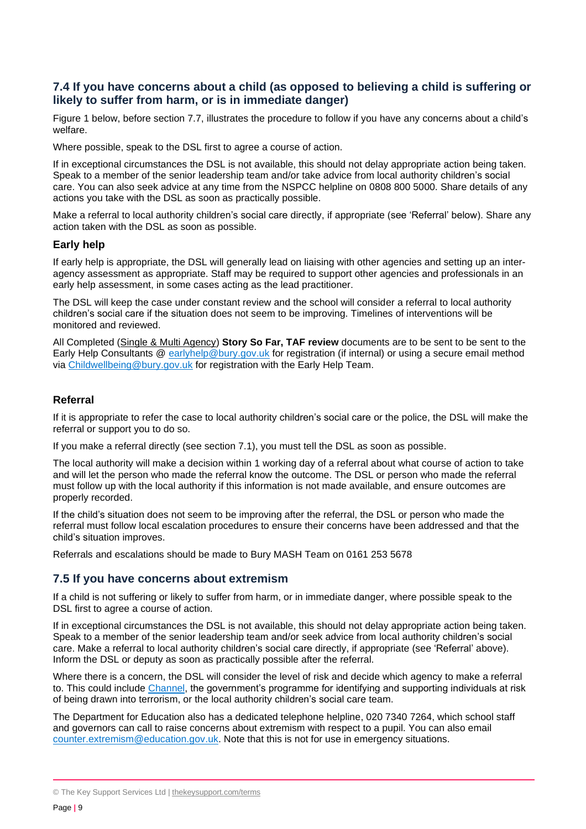# **7.4 If you have concerns about a child (as opposed to believing a child is suffering or likely to suffer from harm, or is in immediate danger)**

Figure 1 below, before section 7.7, illustrates the procedure to follow if you have any concerns about a child's welfare.

Where possible, speak to the DSL first to agree a course of action.

If in exceptional circumstances the DSL is not available, this should not delay appropriate action being taken. Speak to a member of the senior leadership team and/or take advice from local authority children's social care. You can also seek advice at any time from the NSPCC helpline on 0808 800 5000. Share details of any actions you take with the DSL as soon as practically possible.

Make a referral to local authority children's social care directly, if appropriate (see 'Referral' below). Share any action taken with the DSL as soon as possible.

# **Early help**

If early help is appropriate, the DSL will generally lead on liaising with other agencies and setting up an interagency assessment as appropriate. Staff may be required to support other agencies and professionals in an early help assessment, in some cases acting as the lead practitioner.

The DSL will keep the case under constant review and the school will consider a referral to local authority children's social care if the situation does not seem to be improving. Timelines of interventions will be monitored and reviewed.

All Completed (Single & Multi Agency) **Story So Far, TAF review** documents are to be sent to be sent to the Early Help Consultants @ [earlyhelp@bury.gov.uk](mailto:earlyhelp@bury.gov.uk) for registration (if internal) or using a secure email method via [Childwellbeing@bury.gov.uk](mailto:Childwellbeing@bury.gov.uk) for registration with the Early Help Team.

# **Referral**

If it is appropriate to refer the case to local authority children's social care or the police, the DSL will make the referral or support you to do so.

If you make a referral directly (see section 7.1), you must tell the DSL as soon as possible.

The local authority will make a decision within 1 working day of a referral about what course of action to take and will let the person who made the referral know the outcome. The DSL or person who made the referral must follow up with the local authority if this information is not made available, and ensure outcomes are properly recorded.

If the child's situation does not seem to be improving after the referral, the DSL or person who made the referral must follow local escalation procedures to ensure their concerns have been addressed and that the child's situation improves.

Referrals and escalations should be made to Bury MASH Team on 0161 253 5678

# **7.5 If you have concerns about extremism**

If a child is not suffering or likely to suffer from harm, or in immediate danger, where possible speak to the DSL first to agree a course of action.

If in exceptional circumstances the DSL is not available, this should not delay appropriate action being taken. Speak to a member of the senior leadership team and/or seek advice from local authority children's social care. Make a referral to local authority children's social care directly, if appropriate (see 'Referral' above). Inform the DSL or deputy as soon as practically possible after the referral.

Where there is a concern, the DSL will consider the level of risk and decide which agency to make a referral to. This could include [Channel,](https://www.gov.uk/government/publications/channel-guidance) the government's programme for identifying and supporting individuals at risk of being drawn into terrorism, or the local authority children's social care team.

The Department for Education also has a dedicated telephone helpline, 020 7340 7264, which school staff and governors can call to raise concerns about extremism with respect to a pupil. You can also email [counter.extremism@education.gov.uk.](mailto:counter.extremism@education.gov.uk) Note that this is not for use in emergency situations.

<sup>©</sup> The Key Support Services Ltd | [thekeysupport.com/terms](https://thekeysupport.com/terms-of-use)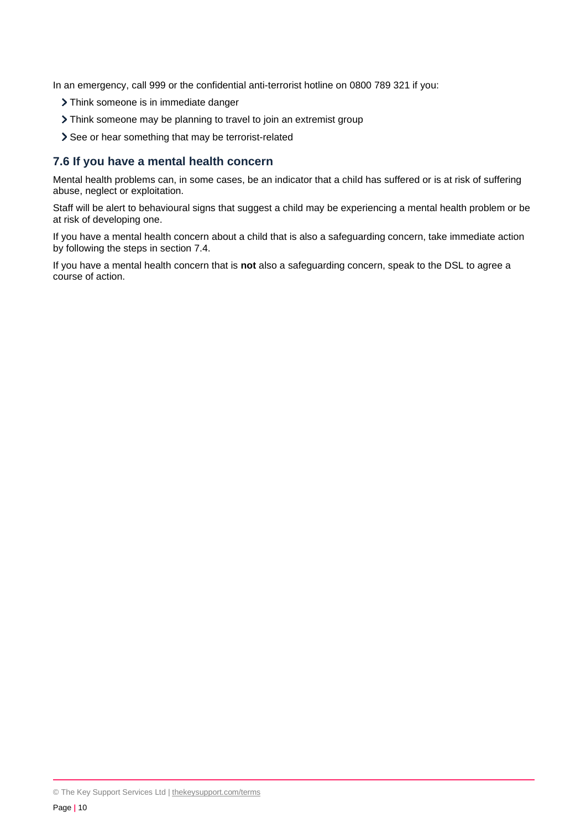In an emergency, call 999 or the confidential anti-terrorist hotline on 0800 789 321 if you:

- > Think someone is in immediate danger
- Think someone may be planning to travel to join an extremist group
- > See or hear something that may be terrorist-related

## **7.6 If you have a mental health concern**

Mental health problems can, in some cases, be an indicator that a child has suffered or is at risk of suffering abuse, neglect or exploitation.

Staff will be alert to behavioural signs that suggest a child may be experiencing a mental health problem or be at risk of developing one.

If you have a mental health concern about a child that is also a safeguarding concern, take immediate action by following the steps in section 7.4.

If you have a mental health concern that is **not** also a safeguarding concern, speak to the DSL to agree a course of action.

<sup>©</sup> The Key Support Services Ltd | [thekeysupport.com/terms](https://thekeysupport.com/terms-of-use)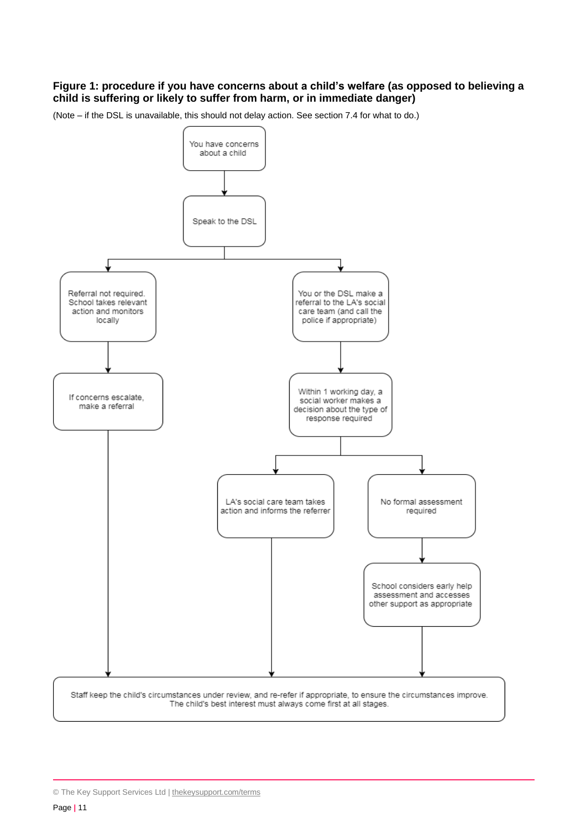#### **Figure 1: procedure if you have concerns about a child's welfare (as opposed to believing a child is suffering or likely to suffer from harm, or in immediate danger)**

(Note – if the DSL is unavailable, this should not delay action. See section 7.4 for what to do.)



<sup>©</sup> The Key Support Services Ltd | [thekeysupport.com/terms](https://thekeysupport.com/terms-of-use)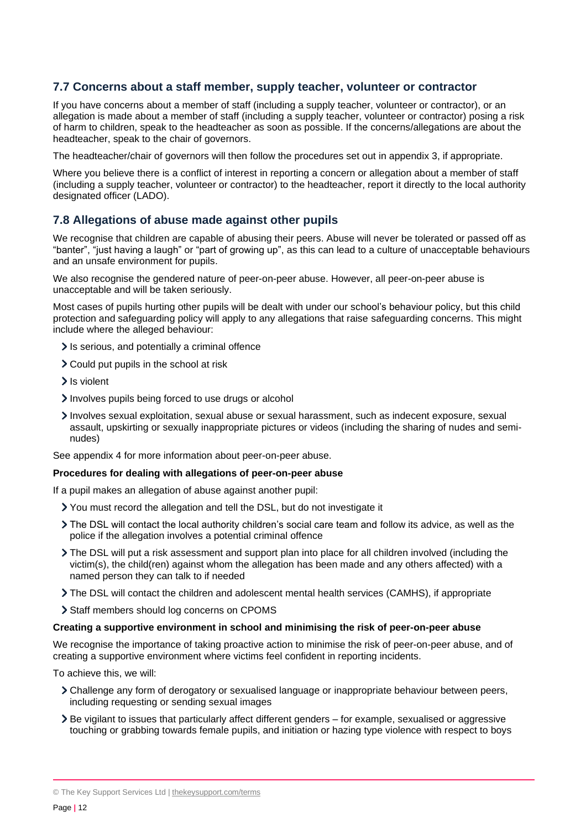# **7.7 Concerns about a staff member, supply teacher, volunteer or contractor**

If you have concerns about a member of staff (including a supply teacher, volunteer or contractor), or an allegation is made about a member of staff (including a supply teacher, volunteer or contractor) posing a risk of harm to children, speak to the headteacher as soon as possible. If the concerns/allegations are about the headteacher, speak to the chair of governors.

The headteacher/chair of governors will then follow the procedures set out in appendix 3, if appropriate.

Where you believe there is a conflict of interest in reporting a concern or allegation about a member of staff (including a supply teacher, volunteer or contractor) to the headteacher, report it directly to the local authority designated officer (LADO).

# **7.8 Allegations of abuse made against other pupils**

We recognise that children are capable of abusing their peers. Abuse will never be tolerated or passed off as "banter", "just having a laugh" or "part of growing up", as this can lead to a culture of unacceptable behaviours and an unsafe environment for pupils.

We also recognise the gendered nature of peer-on-peer abuse. However, all peer-on-peer abuse is unacceptable and will be taken seriously.

Most cases of pupils hurting other pupils will be dealt with under our school's behaviour policy, but this child protection and safeguarding policy will apply to any allegations that raise safeguarding concerns. This might include where the alleged behaviour:

- It is serious, and potentially a criminal offence
- Could put pupils in the school at risk
- > Is violent
- Involves pupils being forced to use drugs or alcohol
- Involves sexual exploitation, sexual abuse or sexual harassment, such as indecent exposure, sexual assault, upskirting or sexually inappropriate pictures or videos (including the sharing of nudes and seminudes)

See appendix 4 for more information about peer-on-peer abuse.

#### **Procedures for dealing with allegations of peer-on-peer abuse**

If a pupil makes an allegation of abuse against another pupil:

- You must record the allegation and tell the DSL, but do not investigate it
- The DSL will contact the local authority children's social care team and follow its advice, as well as the police if the allegation involves a potential criminal offence
- The DSL will put a risk assessment and support plan into place for all children involved (including the victim(s), the child(ren) against whom the allegation has been made and any others affected) with a named person they can talk to if needed
- The DSL will contact the children and adolescent mental health services (CAMHS), if appropriate
- > Staff members should log concerns on CPOMS

#### **Creating a supportive environment in school and minimising the risk of peer-on-peer abuse**

We recognise the importance of taking proactive action to minimise the risk of peer-on-peer abuse, and of creating a supportive environment where victims feel confident in reporting incidents.

To achieve this, we will:

- Challenge any form of derogatory or sexualised language or inappropriate behaviour between peers, including requesting or sending sexual images
- > Be vigilant to issues that particularly affect different genders for example, sexualised or aggressive touching or grabbing towards female pupils, and initiation or hazing type violence with respect to boys

<sup>©</sup> The Key Support Services Ltd | [thekeysupport.com/terms](https://thekeysupport.com/terms-of-use)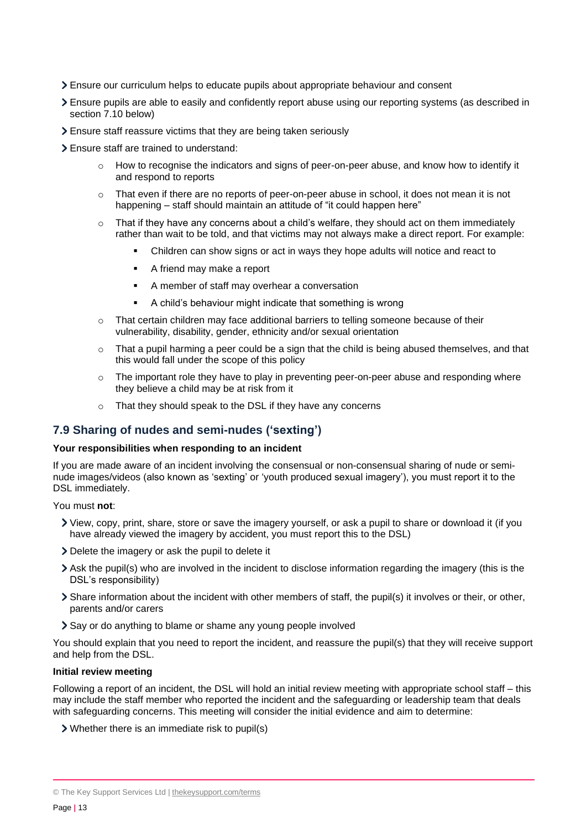- Ensure our curriculum helps to educate pupils about appropriate behaviour and consent
- Ensure pupils are able to easily and confidently report abuse using our reporting systems (as described in section 7.10 below)
- Ensure staff reassure victims that they are being taken seriously
- Ensure staff are trained to understand:
	- $\circ$  How to recognise the indicators and signs of peer-on-peer abuse, and know how to identify it and respond to reports
	- o That even if there are no reports of peer-on-peer abuse in school, it does not mean it is not happening – staff should maintain an attitude of "it could happen here"
	- $\circ$  That if they have any concerns about a child's welfare, they should act on them immediately rather than wait to be told, and that victims may not always make a direct report. For example:
		- Children can show signs or act in ways they hope adults will notice and react to
		- A friend may make a report
		- A member of staff may overhear a conversation
		- A child's behaviour might indicate that something is wrong
	- $\circ$  That certain children may face additional barriers to telling someone because of their vulnerability, disability, gender, ethnicity and/or sexual orientation
	- o That a pupil harming a peer could be a sign that the child is being abused themselves, and that this would fall under the scope of this policy
	- $\circ$  The important role they have to play in preventing peer-on-peer abuse and responding where they believe a child may be at risk from it
	- o That they should speak to the DSL if they have any concerns

# **7.9 Sharing of nudes and semi-nudes ('sexting')**

#### **Your responsibilities when responding to an incident**

If you are made aware of an incident involving the consensual or non-consensual sharing of nude or seminude images/videos (also known as 'sexting' or 'youth produced sexual imagery'), you must report it to the DSL immediately.

You must **not**:

- View, copy, print, share, store or save the imagery yourself, or ask a pupil to share or download it (if you have already viewed the imagery by accident, you must report this to the DSL)
- Delete the imagery or ask the pupil to delete it
- Ask the pupil(s) who are involved in the incident to disclose information regarding the imagery (this is the DSL's responsibility)
- Share information about the incident with other members of staff, the pupil(s) it involves or their, or other, parents and/or carers
- Say or do anything to blame or shame any young people involved

You should explain that you need to report the incident, and reassure the pupil(s) that they will receive support and help from the DSL.

#### **Initial review meeting**

Following a report of an incident, the DSL will hold an initial review meeting with appropriate school staff – this may include the staff member who reported the incident and the safeguarding or leadership team that deals with safeguarding concerns. This meeting will consider the initial evidence and aim to determine:

Whether there is an immediate risk to pupil(s)

<sup>©</sup> The Key Support Services Ltd | [thekeysupport.com/terms](https://thekeysupport.com/terms-of-use)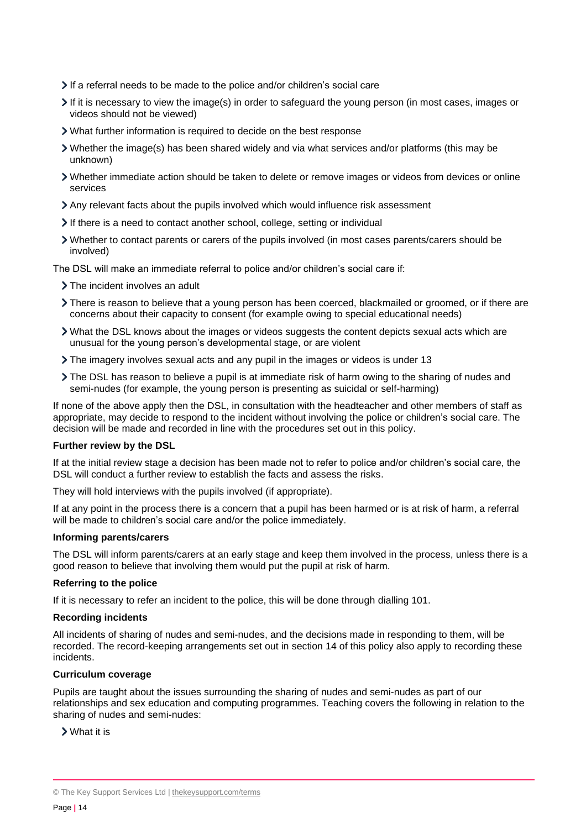- If a referral needs to be made to the police and/or children's social care
- $\triangleright$  If it is necessary to view the image(s) in order to safeguard the young person (in most cases, images or videos should not be viewed)
- What further information is required to decide on the best response
- Whether the image(s) has been shared widely and via what services and/or platforms (this may be unknown)
- Whether immediate action should be taken to delete or remove images or videos from devices or online services
- Any relevant facts about the pupils involved which would influence risk assessment
- If there is a need to contact another school, college, setting or individual
- Whether to contact parents or carers of the pupils involved (in most cases parents/carers should be involved)

The DSL will make an immediate referral to police and/or children's social care if:

- > The incident involves an adult
- There is reason to believe that a young person has been coerced, blackmailed or groomed, or if there are concerns about their capacity to consent (for example owing to special educational needs)
- What the DSL knows about the images or videos suggests the content depicts sexual acts which are unusual for the young person's developmental stage, or are violent
- The imagery involves sexual acts and any pupil in the images or videos is under 13
- The DSL has reason to believe a pupil is at immediate risk of harm owing to the sharing of nudes and semi-nudes (for example, the young person is presenting as suicidal or self-harming)

If none of the above apply then the DSL, in consultation with the headteacher and other members of staff as appropriate, may decide to respond to the incident without involving the police or children's social care. The decision will be made and recorded in line with the procedures set out in this policy.

#### **Further review by the DSL**

If at the initial review stage a decision has been made not to refer to police and/or children's social care, the DSL will conduct a further review to establish the facts and assess the risks.

They will hold interviews with the pupils involved (if appropriate).

If at any point in the process there is a concern that a pupil has been harmed or is at risk of harm, a referral will be made to children's social care and/or the police immediately.

#### **Informing parents/carers**

The DSL will inform parents/carers at an early stage and keep them involved in the process, unless there is a good reason to believe that involving them would put the pupil at risk of harm.

#### **Referring to the police**

If it is necessary to refer an incident to the police, this will be done through dialling 101.

#### **Recording incidents**

All incidents of sharing of nudes and semi-nudes, and the decisions made in responding to them, will be recorded. The record-keeping arrangements set out in section 14 of this policy also apply to recording these incidents.

#### **Curriculum coverage**

Pupils are taught about the issues surrounding the sharing of nudes and semi-nudes as part of our relationships and sex education and computing programmes. Teaching covers the following in relation to the sharing of nudes and semi-nudes:

What it is

<sup>©</sup> The Key Support Services Ltd | [thekeysupport.com/terms](https://thekeysupport.com/terms-of-use)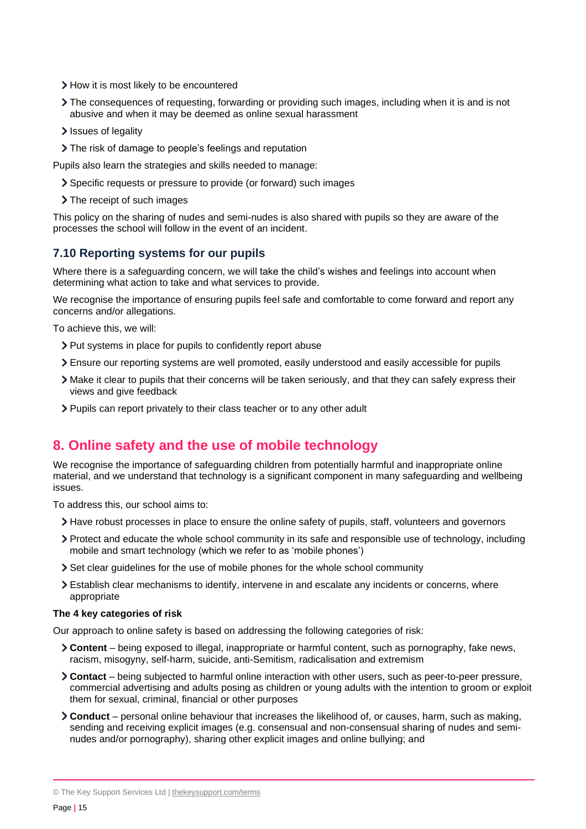- > How it is most likely to be encountered
- The consequences of requesting, forwarding or providing such images, including when it is and is not abusive and when it may be deemed as online sexual harassment
- Issues of legality
- The risk of damage to people's feelings and reputation

Pupils also learn the strategies and skills needed to manage:

- Specific requests or pressure to provide (or forward) such images
- > The receipt of such images

This policy on the sharing of nudes and semi-nudes is also shared with pupils so they are aware of the processes the school will follow in the event of an incident.

# **7.10 Reporting systems for our pupils**

Where there is a safeguarding concern, we will take the child's wishes and feelings into account when determining what action to take and what services to provide.

We recognise the importance of ensuring pupils feel safe and comfortable to come forward and report any concerns and/or allegations.

To achieve this, we will:

- > Put systems in place for pupils to confidently report abuse
- Ensure our reporting systems are well promoted, easily understood and easily accessible for pupils
- Make it clear to pupils that their concerns will be taken seriously, and that they can safely express their views and give feedback
- Pupils can report privately to their class teacher or to any other adult

# <span id="page-14-0"></span>**8. Online safety and the use of mobile technology**

We recognise the importance of safeguarding children from potentially harmful and inappropriate online material, and we understand that technology is a significant component in many safeguarding and wellbeing issues.

To address this, our school aims to:

- Have robust processes in place to ensure the online safety of pupils, staff, volunteers and governors
- Protect and educate the whole school community in its safe and responsible use of technology, including mobile and smart technology (which we refer to as 'mobile phones')
- Set clear guidelines for the use of mobile phones for the whole school community
- Establish clear mechanisms to identify, intervene in and escalate any incidents or concerns, where appropriate

#### **The 4 key categories of risk**

Our approach to online safety is based on addressing the following categories of risk:

- **Content** being exposed to illegal, inappropriate or harmful content, such as pornography, fake news, racism, misogyny, self-harm, suicide, anti-Semitism, radicalisation and extremism
- **Contact** being subjected to harmful online interaction with other users, such as peer-to-peer pressure, commercial advertising and adults posing as children or young adults with the intention to groom or exploit them for sexual, criminal, financial or other purposes
- **Conduct** personal online behaviour that increases the likelihood of, or causes, harm, such as making, sending and receiving explicit images (e.g. consensual and non-consensual sharing of nudes and seminudes and/or pornography), sharing other explicit images and online bullying; and

© The Key Support Services Ltd | [thekeysupport.com/terms](https://thekeysupport.com/terms-of-use)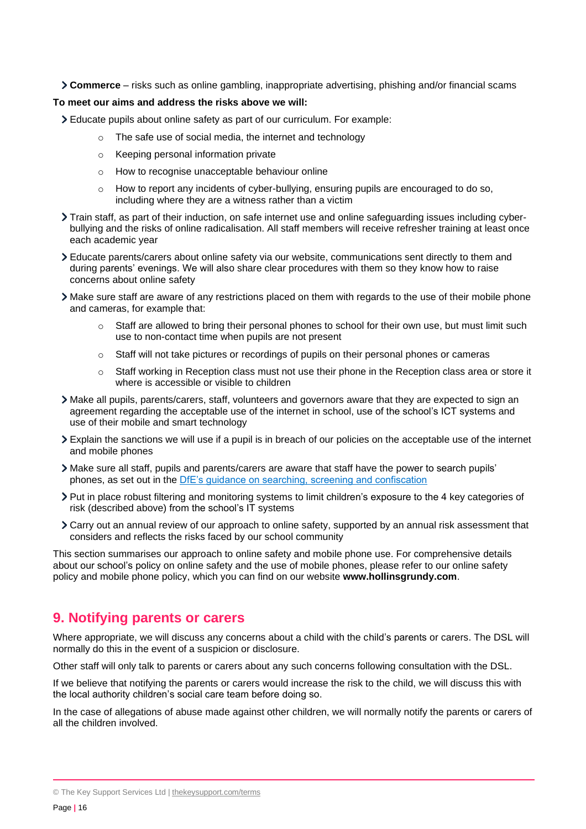**Commerce** – risks such as online gambling, inappropriate advertising, phishing and/or financial scams

#### **To meet our aims and address the risks above we will:**

- Educate pupils about online safety as part of our curriculum. For example:
	- o The safe use of social media, the internet and technology
	- o Keeping personal information private
	- o How to recognise unacceptable behaviour online
	- o How to report any incidents of cyber-bullying, ensuring pupils are encouraged to do so, including where they are a witness rather than a victim
- Train staff, as part of their induction, on safe internet use and online safeguarding issues including cyberbullying and the risks of online radicalisation. All staff members will receive refresher training at least once each academic year
- Educate parents/carers about online safety via our website, communications sent directly to them and during parents' evenings. We will also share clear procedures with them so they know how to raise concerns about online safety
- Make sure staff are aware of any restrictions placed on them with regards to the use of their mobile phone and cameras, for example that:
	- $\circ$  Staff are allowed to bring their personal phones to school for their own use, but must limit such use to non-contact time when pupils are not present
	- o Staff will not take pictures or recordings of pupils on their personal phones or cameras
	- o Staff working in Reception class must not use their phone in the Reception class area or store it where is accessible or visible to children
- Make all pupils, parents/carers, staff, volunteers and governors aware that they are expected to sign an agreement regarding the acceptable use of the internet in school, use of the school's ICT systems and use of their mobile and smart technology
- Explain the sanctions we will use if a pupil is in breach of our policies on the acceptable use of the internet and mobile phones
- Make sure all staff, pupils and parents/carers are aware that staff have the power to search pupils' phones, as set out in the [DfE's guidance on searching, screening and confiscation](https://www.gov.uk/government/publications/searching-screening-and-confiscation)
- Put in place robust filtering and monitoring systems to limit children's exposure to the 4 key categories of risk (described above) from the school's IT systems
- Carry out an annual review of our approach to online safety, supported by an annual risk assessment that considers and reflects the risks faced by our school community

This section summarises our approach to online safety and mobile phone use. For comprehensive details about our school's policy on online safety and the use of mobile phones, please refer to our online safety policy and mobile phone policy, which you can find on our website **www.hollinsgrundy.com**.

# <span id="page-15-0"></span>**9. Notifying parents or carers**

Where appropriate, we will discuss any concerns about a child with the child's parents or carers. The DSL will normally do this in the event of a suspicion or disclosure.

Other staff will only talk to parents or carers about any such concerns following consultation with the DSL.

If we believe that notifying the parents or carers would increase the risk to the child, we will discuss this with the local authority children's social care team before doing so.

In the case of allegations of abuse made against other children, we will normally notify the parents or carers of all the children involved.

<sup>©</sup> The Key Support Services Ltd | [thekeysupport.com/terms](https://thekeysupport.com/terms-of-use)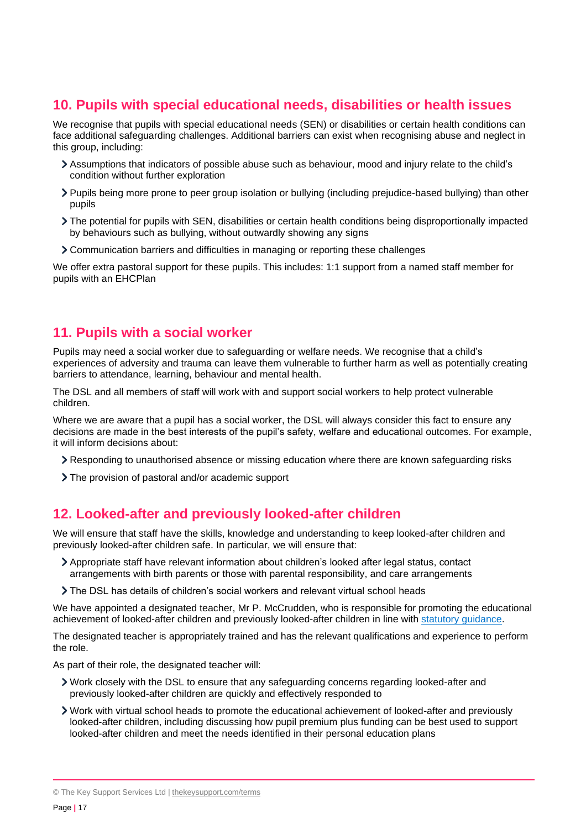# <span id="page-16-0"></span>**10. Pupils with special educational needs, disabilities or health issues**

We recognise that pupils with special educational needs (SEN) or disabilities or certain health conditions can face additional safeguarding challenges. Additional barriers can exist when recognising abuse and neglect in this group, including:

- Assumptions that indicators of possible abuse such as behaviour, mood and injury relate to the child's condition without further exploration
- Pupils being more prone to peer group isolation or bullying (including prejudice-based bullying) than other pupils
- The potential for pupils with SEN, disabilities or certain health conditions being disproportionally impacted by behaviours such as bullying, without outwardly showing any signs
- Communication barriers and difficulties in managing or reporting these challenges

We offer extra pastoral support for these pupils. This includes: 1:1 support from a named staff member for pupils with an EHCPlan

# <span id="page-16-1"></span>**11. Pupils with a social worker**

Pupils may need a social worker due to safeguarding or welfare needs. We recognise that a child's experiences of adversity and trauma can leave them vulnerable to further harm as well as potentially creating barriers to attendance, learning, behaviour and mental health.

The DSL and all members of staff will work with and support social workers to help protect vulnerable children.

Where we are aware that a pupil has a social worker, the DSL will always consider this fact to ensure any decisions are made in the best interests of the pupil's safety, welfare and educational outcomes. For example, it will inform decisions about:

- Responding to unauthorised absence or missing education where there are known safeguarding risks
- The provision of pastoral and/or academic support

# <span id="page-16-2"></span>**12. Looked-after and previously looked-after children**

We will ensure that staff have the skills, knowledge and understanding to keep looked-after children and previously looked-after children safe. In particular, we will ensure that:

- Appropriate staff have relevant information about children's looked after legal status, contact arrangements with birth parents or those with parental responsibility, and care arrangements
- The DSL has details of children's social workers and relevant virtual school heads

We have appointed a designated teacher, Mr P. McCrudden, who is responsible for promoting the educational achievement of looked-after children and previously looked-after children in line with [statutory guidance.](https://www.gov.uk/government/publications/designated-teacher-for-looked-after-children)

The designated teacher is appropriately trained and has the relevant qualifications and experience to perform the role.

As part of their role, the designated teacher will:

- Work closely with the DSL to ensure that any safeguarding concerns regarding looked-after and previously looked-after children are quickly and effectively responded to
- Work with virtual school heads to promote the educational achievement of looked-after and previously looked-after children, including discussing how pupil premium plus funding can be best used to support looked-after children and meet the needs identified in their personal education plans

<sup>©</sup> The Key Support Services Ltd | [thekeysupport.com/terms](https://thekeysupport.com/terms-of-use)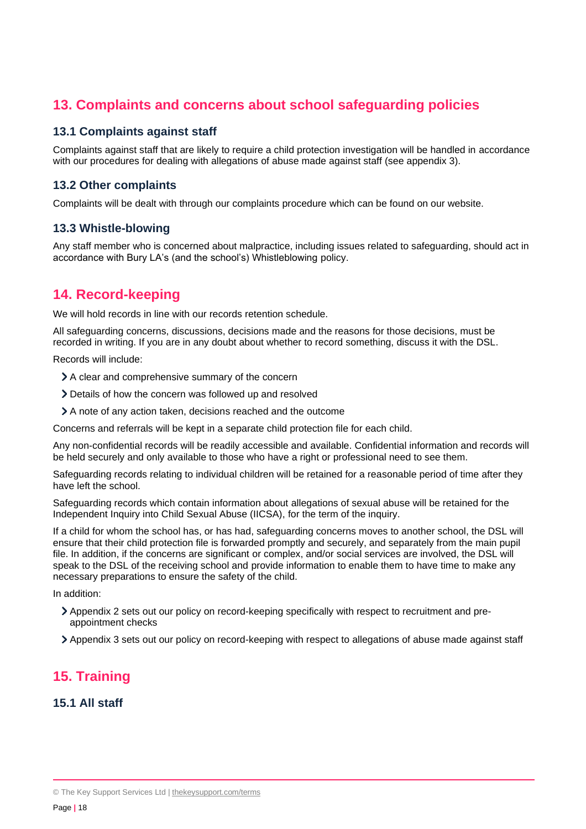# <span id="page-17-0"></span>**13. Complaints and concerns about school safeguarding policies**

# **13.1 Complaints against staff**

Complaints against staff that are likely to require a child protection investigation will be handled in accordance with our procedures for dealing with allegations of abuse made against staff (see appendix 3).

# **13.2 Other complaints**

Complaints will be dealt with through our complaints procedure which can be found on our website.

# **13.3 Whistle-blowing**

Any staff member who is concerned about malpractice, including issues related to safeguarding, should act in accordance with Bury LA's (and the school's) Whistleblowing policy.

# <span id="page-17-1"></span>**14. Record-keeping**

We will hold records in line with our records retention schedule.

All safeguarding concerns, discussions, decisions made and the reasons for those decisions, must be recorded in writing. If you are in any doubt about whether to record something, discuss it with the DSL.

Records will include:

- A clear and comprehensive summary of the concern
- Details of how the concern was followed up and resolved
- A note of any action taken, decisions reached and the outcome

Concerns and referrals will be kept in a separate child protection file for each child.

Any non-confidential records will be readily accessible and available. Confidential information and records will be held securely and only available to those who have a right or professional need to see them.

Safeguarding records relating to individual children will be retained for a reasonable period of time after they have left the school.

Safeguarding records which contain information about allegations of sexual abuse will be retained for the Independent Inquiry into Child Sexual Abuse (IICSA), for the term of the inquiry.

If a child for whom the school has, or has had, safeguarding concerns moves to another school, the DSL will ensure that their child protection file is forwarded promptly and securely, and separately from the main pupil file. In addition, if the concerns are significant or complex, and/or social services are involved, the DSL will speak to the DSL of the receiving school and provide information to enable them to have time to make any necessary preparations to ensure the safety of the child.

In addition:

Appendix 2 sets out our policy on record-keeping specifically with respect to recruitment and preappointment checks

Appendix 3 sets out our policy on record-keeping with respect to allegations of abuse made against staff

# <span id="page-17-2"></span>**15. Training**

# **15.1 All staff**

<sup>©</sup> The Key Support Services Ltd | [thekeysupport.com/terms](https://thekeysupport.com/terms-of-use)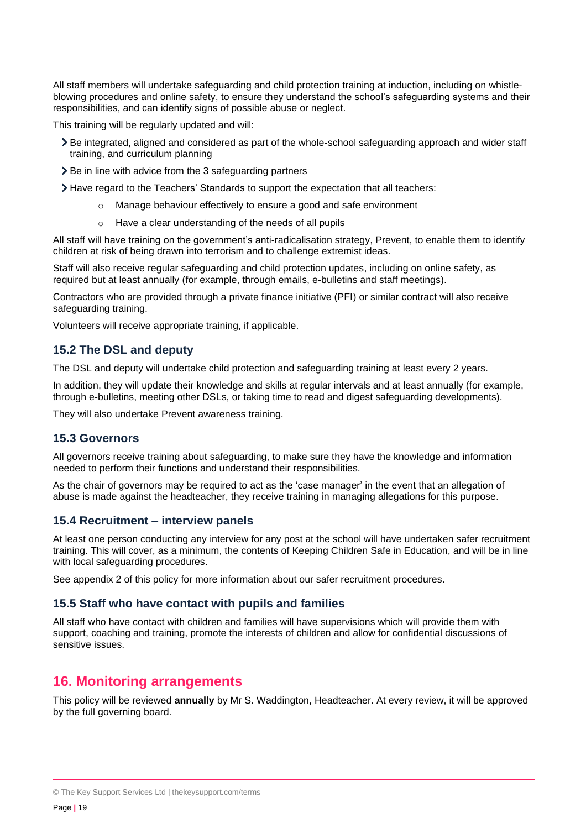All staff members will undertake safeguarding and child protection training at induction, including on whistleblowing procedures and online safety, to ensure they understand the school's safeguarding systems and their responsibilities, and can identify signs of possible abuse or neglect.

This training will be regularly updated and will:

- Be integrated, aligned and considered as part of the whole-school safeguarding approach and wider staff training, and curriculum planning
- > Be in line with advice from the 3 safeguarding partners
- Have regard to the Teachers' Standards to support the expectation that all teachers:
	- o Manage behaviour effectively to ensure a good and safe environment
	- o Have a clear understanding of the needs of all pupils

All staff will have training on the government's anti-radicalisation strategy, Prevent, to enable them to identify children at risk of being drawn into terrorism and to challenge extremist ideas.

Staff will also receive regular safeguarding and child protection updates, including on online safety, as required but at least annually (for example, through emails, e-bulletins and staff meetings).

Contractors who are provided through a private finance initiative (PFI) or similar contract will also receive safeguarding training.

Volunteers will receive appropriate training, if applicable.

# **15.2 The DSL and deputy**

The DSL and deputy will undertake child protection and safeguarding training at least every 2 years.

In addition, they will update their knowledge and skills at regular intervals and at least annually (for example, through e-bulletins, meeting other DSLs, or taking time to read and digest safeguarding developments).

They will also undertake Prevent awareness training.

# **15.3 Governors**

All governors receive training about safeguarding, to make sure they have the knowledge and information needed to perform their functions and understand their responsibilities.

As the chair of governors may be required to act as the 'case manager' in the event that an allegation of abuse is made against the headteacher, they receive training in managing allegations for this purpose.

# **15.4 Recruitment – interview panels**

At least one person conducting any interview for any post at the school will have undertaken safer recruitment training. This will cover, as a minimum, the contents of Keeping Children Safe in Education, and will be in line with local safeguarding procedures.

See appendix 2 of this policy for more information about our safer recruitment procedures.

# **15.5 Staff who have contact with pupils and families**

All staff who have contact with children and families will have supervisions which will provide them with support, coaching and training, promote the interests of children and allow for confidential discussions of sensitive issues.

# <span id="page-18-0"></span>**16. Monitoring arrangements**

This policy will be reviewed **annually** by Mr S. Waddington, Headteacher. At every review, it will be approved by the full governing board.

<sup>©</sup> The Key Support Services Ltd | [thekeysupport.com/terms](https://thekeysupport.com/terms-of-use)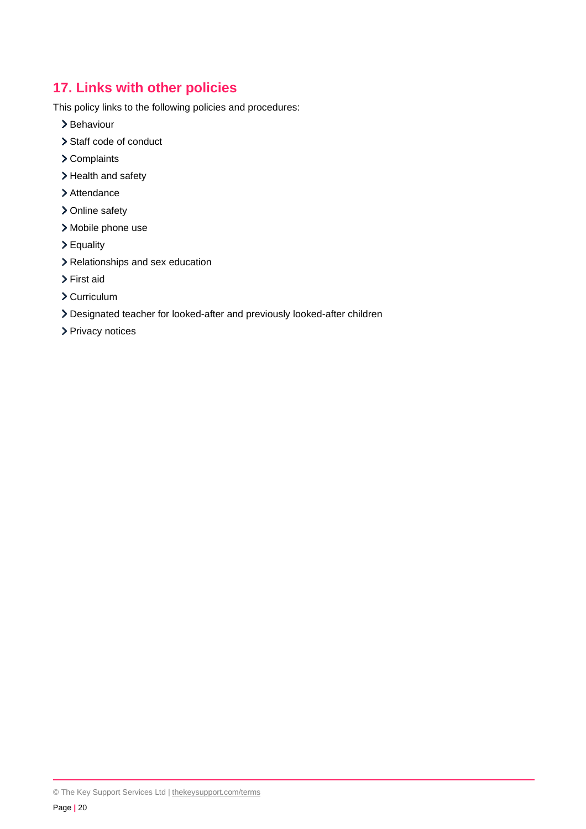# <span id="page-19-0"></span>**17. Links with other policies**

This policy links to the following policies and procedures:

- > Behaviour
- > Staff code of conduct
- > Complaints
- > Health and safety
- > Attendance
- > Online safety
- Mobile phone use
- Equality
- > Relationships and sex education
- > First aid
- > Curriculum
- Designated teacher for looked-after and previously looked-after children
- > Privacy notices

<sup>©</sup> The Key Support Services Ltd | [thekeysupport.com/terms](https://thekeysupport.com/terms-of-use)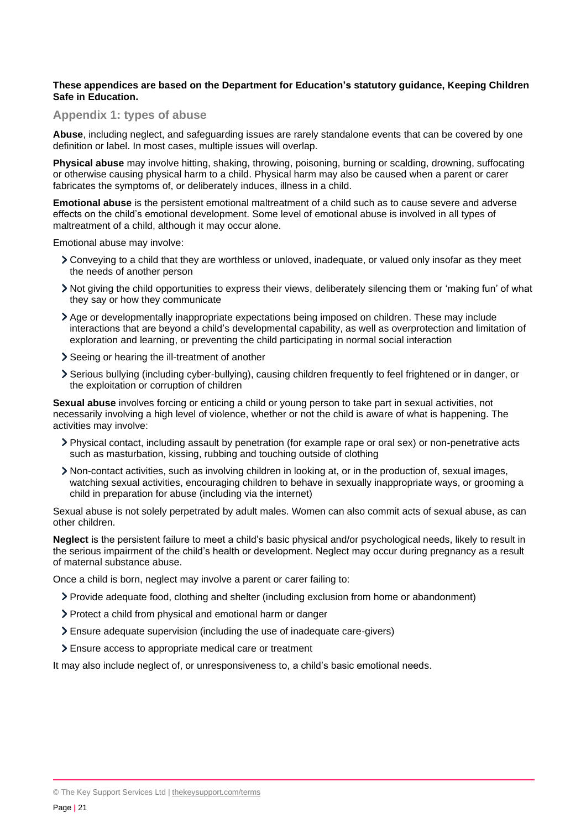#### **These appendices are based on the Department for Education's statutory guidance, Keeping Children Safe in Education.**

#### <span id="page-20-0"></span>**Appendix 1: types of abuse**

**Abuse**, including neglect, and safeguarding issues are rarely standalone events that can be covered by one definition or label. In most cases, multiple issues will overlap.

**Physical abuse** may involve hitting, shaking, throwing, poisoning, burning or scalding, drowning, suffocating or otherwise causing physical harm to a child. Physical harm may also be caused when a parent or carer fabricates the symptoms of, or deliberately induces, illness in a child.

**Emotional abuse** is the persistent emotional maltreatment of a child such as to cause severe and adverse effects on the child's emotional development. Some level of emotional abuse is involved in all types of maltreatment of a child, although it may occur alone.

Emotional abuse may involve:

- Conveying to a child that they are worthless or unloved, inadequate, or valued only insofar as they meet the needs of another person
- Not giving the child opportunities to express their views, deliberately silencing them or 'making fun' of what they say or how they communicate
- Age or developmentally inappropriate expectations being imposed on children. These may include interactions that are beyond a child's developmental capability, as well as overprotection and limitation of exploration and learning, or preventing the child participating in normal social interaction
- Seeing or hearing the ill-treatment of another
- Serious bullying (including cyber-bullying), causing children frequently to feel frightened or in danger, or the exploitation or corruption of children

**Sexual abuse** involves forcing or enticing a child or young person to take part in sexual activities, not necessarily involving a high level of violence, whether or not the child is aware of what is happening. The activities may involve:

- Physical contact, including assault by penetration (for example rape or oral sex) or non-penetrative acts such as masturbation, kissing, rubbing and touching outside of clothing
- Non-contact activities, such as involving children in looking at, or in the production of, sexual images, watching sexual activities, encouraging children to behave in sexually inappropriate ways, or grooming a child in preparation for abuse (including via the internet)

Sexual abuse is not solely perpetrated by adult males. Women can also commit acts of sexual abuse, as can other children.

**Neglect** is the persistent failure to meet a child's basic physical and/or psychological needs, likely to result in the serious impairment of the child's health or development. Neglect may occur during pregnancy as a result of maternal substance abuse.

Once a child is born, neglect may involve a parent or carer failing to:

- Provide adequate food, clothing and shelter (including exclusion from home or abandonment)
- Protect a child from physical and emotional harm or danger
- Ensure adequate supervision (including the use of inadequate care-givers)
- Ensure access to appropriate medical care or treatment

It may also include neglect of, or unresponsiveness to, a child's basic emotional needs.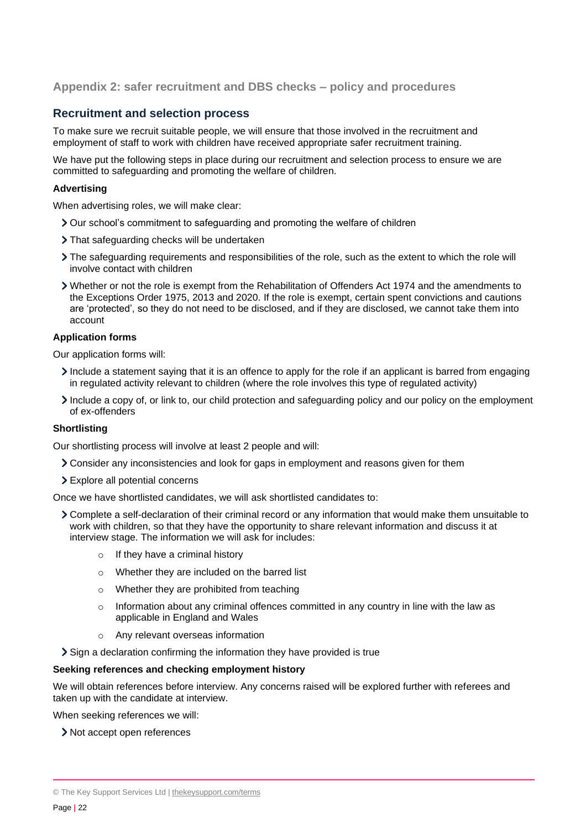# <span id="page-21-0"></span>**Appendix 2: safer recruitment and DBS checks – policy and procedures**

# **Recruitment and selection process**

To make sure we recruit suitable people, we will ensure that those involved in the recruitment and employment of staff to work with children have received appropriate safer recruitment training.

We have put the following steps in place during our recruitment and selection process to ensure we are committed to safeguarding and promoting the welfare of children.

## **Advertising**

When advertising roles, we will make clear:

- Our school's commitment to safeguarding and promoting the welfare of children
- > That safeguarding checks will be undertaken
- The safeguarding requirements and responsibilities of the role, such as the extent to which the role will involve contact with children
- Whether or not the role is exempt from the Rehabilitation of Offenders Act 1974 and the amendments to the Exceptions Order 1975, 2013 and 2020. If the role is exempt, certain spent convictions and cautions are 'protected', so they do not need to be disclosed, and if they are disclosed, we cannot take them into account

#### **Application forms**

Our application forms will:

- Include a statement saying that it is an offence to apply for the role if an applicant is barred from engaging in regulated activity relevant to children (where the role involves this type of regulated activity)
- Include a copy of, or link to, our child protection and safeguarding policy and our policy on the employment of ex-offenders

#### **Shortlisting**

Our shortlisting process will involve at least 2 people and will:

- Consider any inconsistencies and look for gaps in employment and reasons given for them
- Explore all potential concerns

Once we have shortlisted candidates, we will ask shortlisted candidates to:

- Complete a self-declaration of their criminal record or any information that would make them unsuitable to work with children, so that they have the opportunity to share relevant information and discuss it at interview stage. The information we will ask for includes:
	- o If they have a criminal history
	- o Whether they are included on the barred list
	- o Whether they are prohibited from teaching
	- $\circ$  Information about any criminal offences committed in any country in line with the law as applicable in England and Wales
	- o Any relevant overseas information

Sign a declaration confirming the information they have provided is true

#### **Seeking references and checking employment history**

We will obtain references before interview. Any concerns raised will be explored further with referees and taken up with the candidate at interview.

When seeking references we will:

> Not accept open references

<sup>©</sup> The Key Support Services Ltd | [thekeysupport.com/terms](https://thekeysupport.com/terms-of-use)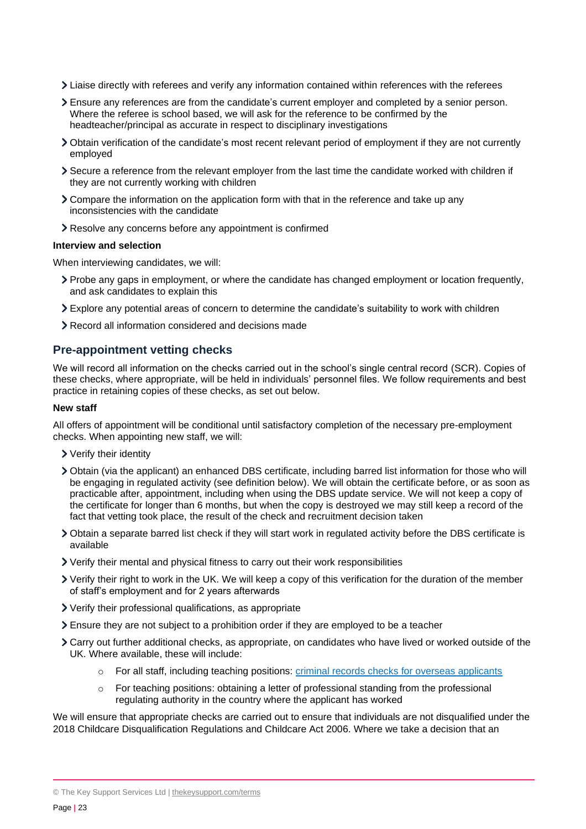- Liaise directly with referees and verify any information contained within references with the referees
- Ensure any references are from the candidate's current employer and completed by a senior person. Where the referee is school based, we will ask for the reference to be confirmed by the headteacher/principal as accurate in respect to disciplinary investigations
- Obtain verification of the candidate's most recent relevant period of employment if they are not currently employed
- Secure a reference from the relevant employer from the last time the candidate worked with children if they are not currently working with children
- Compare the information on the application form with that in the reference and take up any inconsistencies with the candidate
- Resolve any concerns before any appointment is confirmed

#### **Interview and selection**

When interviewing candidates, we will:

- Probe any gaps in employment, or where the candidate has changed employment or location frequently, and ask candidates to explain this
- Explore any potential areas of concern to determine the candidate's suitability to work with children
- Record all information considered and decisions made

## **Pre-appointment vetting checks**

We will record all information on the checks carried out in the school's single central record (SCR). Copies of these checks, where appropriate, will be held in individuals' personnel files. We follow requirements and best practice in retaining copies of these checks, as set out below.

#### **New staff**

All offers of appointment will be conditional until satisfactory completion of the necessary pre-employment checks. When appointing new staff, we will:

- Verify their identity
- Obtain (via the applicant) an enhanced DBS certificate, including barred list information for those who will be engaging in regulated activity (see definition below). We will obtain the certificate before, or as soon as practicable after, appointment, including when using the DBS update service. We will not keep a copy of the certificate for longer than 6 months, but when the copy is destroyed we may still keep a record of the fact that vetting took place, the result of the check and recruitment decision taken
- Obtain a separate barred list check if they will start work in regulated activity before the DBS certificate is available
- Verify their mental and physical fitness to carry out their work responsibilities
- Verify their right to work in the UK. We will keep a copy of this verification for the duration of the member of staff's employment and for 2 years afterwards
- Verify their professional qualifications, as appropriate
- Ensure they are not subject to a prohibition order if they are employed to be a teacher
- Carry out further additional checks, as appropriate, on candidates who have lived or worked outside of the UK. Where available, these will include:
	- o For all staff, including teaching positions: [criminal records checks for overseas applicants](https://www.gov.uk/government/publications/criminal-records-checks-for-overseas-applicants)
	- $\circ$  For teaching positions: obtaining a letter of professional standing from the professional regulating authority in the country where the applicant has worked

We will ensure that appropriate checks are carried out to ensure that individuals are not disqualified under the 2018 Childcare Disqualification Regulations and Childcare Act 2006. Where we take a decision that an

<sup>©</sup> The Key Support Services Ltd | [thekeysupport.com/terms](https://thekeysupport.com/terms-of-use)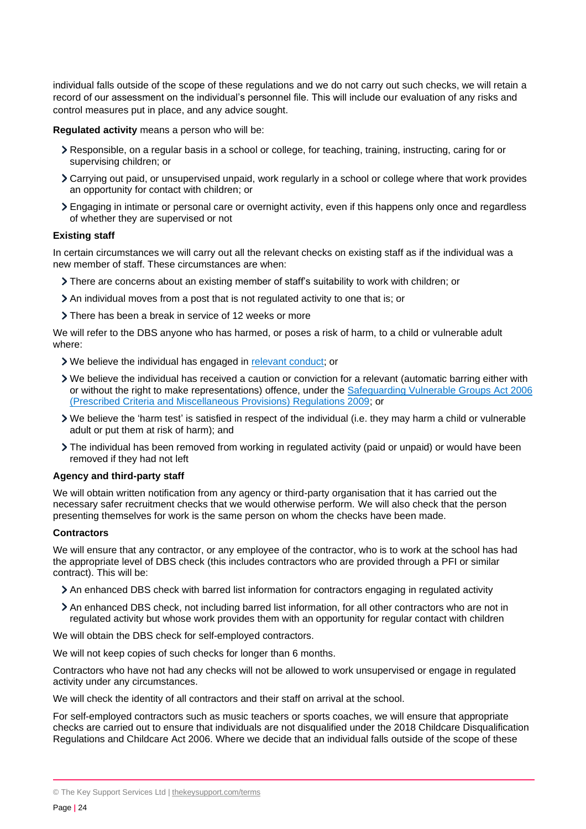individual falls outside of the scope of these regulations and we do not carry out such checks, we will retain a record of our assessment on the individual's personnel file. This will include our evaluation of any risks and control measures put in place, and any advice sought.

**Regulated activity** means a person who will be:

- Responsible, on a regular basis in a school or college, for teaching, training, instructing, caring for or supervising children; or
- Carrying out paid, or unsupervised unpaid, work regularly in a school or college where that work provides an opportunity for contact with children; or
- Engaging in intimate or personal care or overnight activity, even if this happens only once and regardless of whether they are supervised or not

#### **Existing staff**

In certain circumstances we will carry out all the relevant checks on existing staff as if the individual was a new member of staff. These circumstances are when:

- There are concerns about an existing member of staff's suitability to work with children; or
- An individual moves from a post that is not regulated activity to one that is; or
- There has been a break in service of 12 weeks or more

We will refer to the DBS anyone who has harmed, or poses a risk of harm, to a child or vulnerable adult where:

- We believe the individual has engaged in [relevant conduct;](https://www.gov.uk/guidance/making-barring-referrals-to-the-dbs#relevant-conduct-in-relation-to-children) or
- We believe the individual has received a caution or conviction for a relevant (automatic barring either with or without the right to make representations) offence, under the [Safeguarding Vulnerable](http://www.legislation.gov.uk/uksi/2009/37/contents/made) Groups Act 2006 [\(Prescribed Criteria and Miscellaneous Provisions\) Regulations 2009;](http://www.legislation.gov.uk/uksi/2009/37/contents/made) or
- We believe the 'harm test' is satisfied in respect of the individual (i.e. they may harm a child or vulnerable adult or put them at risk of harm); and
- The individual has been removed from working in regulated activity (paid or unpaid) or would have been removed if they had not left

#### **Agency and third-party staff**

We will obtain written notification from any agency or third-party organisation that it has carried out the necessary safer recruitment checks that we would otherwise perform. We will also check that the person presenting themselves for work is the same person on whom the checks have been made.

#### **Contractors**

We will ensure that any contractor, or any employee of the contractor, who is to work at the school has had the appropriate level of DBS check (this includes contractors who are provided through a PFI or similar contract). This will be:

- An enhanced DBS check with barred list information for contractors engaging in regulated activity
- An enhanced DBS check, not including barred list information, for all other contractors who are not in regulated activity but whose work provides them with an opportunity for regular contact with children

We will obtain the DBS check for self-employed contractors.

We will not keep copies of such checks for longer than 6 months.

Contractors who have not had any checks will not be allowed to work unsupervised or engage in regulated activity under any circumstances.

We will check the identity of all contractors and their staff on arrival at the school.

For self-employed contractors such as music teachers or sports coaches, we will ensure that appropriate checks are carried out to ensure that individuals are not disqualified under the 2018 Childcare Disqualification Regulations and Childcare Act 2006. Where we decide that an individual falls outside of the scope of these

<sup>©</sup> The Key Support Services Ltd | [thekeysupport.com/terms](https://thekeysupport.com/terms-of-use)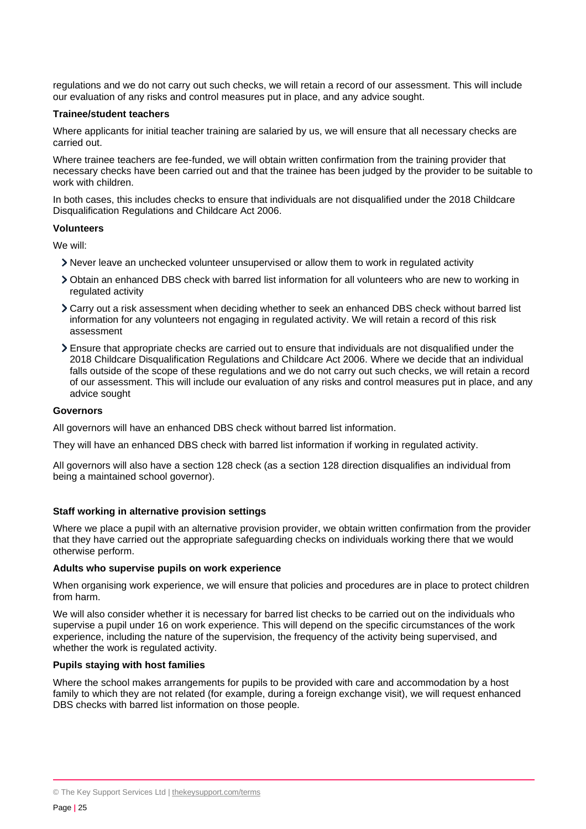regulations and we do not carry out such checks, we will retain a record of our assessment. This will include our evaluation of any risks and control measures put in place, and any advice sought.

#### **Trainee/student teachers**

Where applicants for initial teacher training are salaried by us, we will ensure that all necessary checks are carried out.

Where trainee teachers are fee-funded, we will obtain written confirmation from the training provider that necessary checks have been carried out and that the trainee has been judged by the provider to be suitable to work with children.

In both cases, this includes checks to ensure that individuals are not disqualified under the 2018 Childcare Disqualification Regulations and Childcare Act 2006.

#### **Volunteers**

We will:

- Never leave an unchecked volunteer unsupervised or allow them to work in regulated activity
- Obtain an enhanced DBS check with barred list information for all volunteers who are new to working in regulated activity
- Carry out a risk assessment when deciding whether to seek an enhanced DBS check without barred list information for any volunteers not engaging in regulated activity. We will retain a record of this risk assessment
- Ensure that appropriate checks are carried out to ensure that individuals are not disqualified under the 2018 Childcare Disqualification Regulations and Childcare Act 2006. Where we decide that an individual falls outside of the scope of these regulations and we do not carry out such checks, we will retain a record of our assessment. This will include our evaluation of any risks and control measures put in place, and any advice sought

#### **Governors**

All governors will have an enhanced DBS check without barred list information.

They will have an enhanced DBS check with barred list information if working in regulated activity.

All governors will also have a section 128 check (as a section 128 direction disqualifies an individual from being a maintained school governor).

#### **Staff working in alternative provision settings**

Where we place a pupil with an alternative provision provider, we obtain written confirmation from the provider that they have carried out the appropriate safeguarding checks on individuals working there that we would otherwise perform.

#### **Adults who supervise pupils on work experience**

When organising work experience, we will ensure that policies and procedures are in place to protect children from harm.

We will also consider whether it is necessary for barred list checks to be carried out on the individuals who supervise a pupil under 16 on work experience. This will depend on the specific circumstances of the work experience, including the nature of the supervision, the frequency of the activity being supervised, and whether the work is regulated activity.

#### **Pupils staying with host families**

Where the school makes arrangements for pupils to be provided with care and accommodation by a host family to which they are not related (for example, during a foreign exchange visit), we will request enhanced DBS checks with barred list information on those people.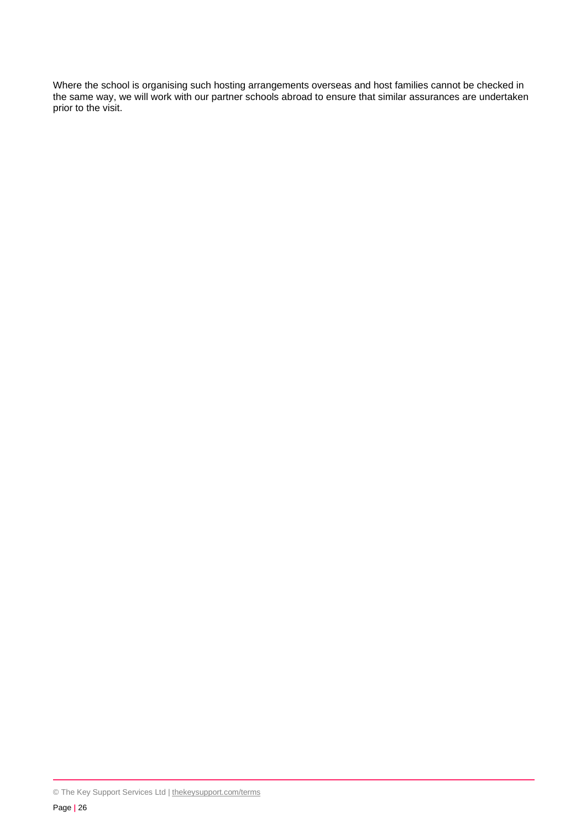Where the school is organising such hosting arrangements overseas and host families cannot be checked in the same way, we will work with our partner schools abroad to ensure that similar assurances are undertaken prior to the visit.

<sup>©</sup> The Key Support Services Ltd | [thekeysupport.com/terms](https://thekeysupport.com/terms-of-use)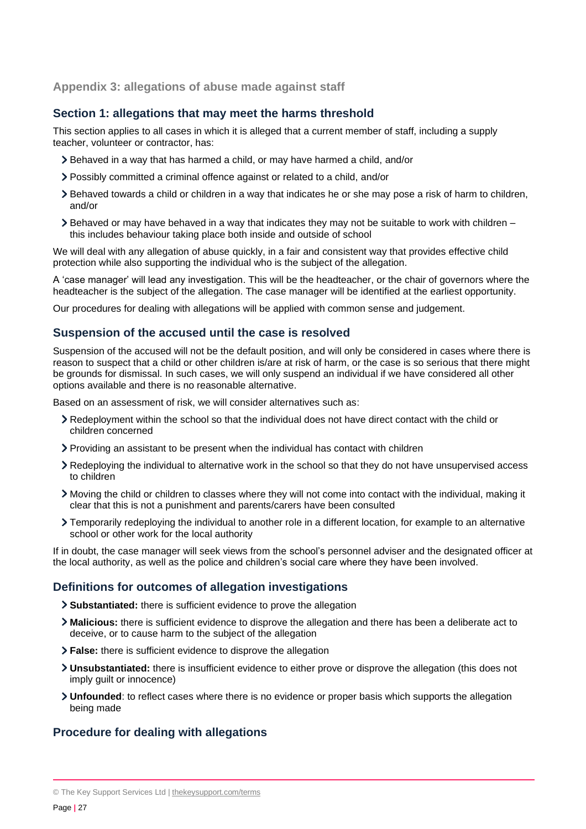# <span id="page-26-0"></span>**Appendix 3: allegations of abuse made against staff**

# **Section 1: allegations that may meet the harms threshold**

This section applies to all cases in which it is alleged that a current member of staff, including a supply teacher, volunteer or contractor, has:

- Behaved in a way that has harmed a child, or may have harmed a child, and/or
- Possibly committed a criminal offence against or related to a child, and/or
- Behaved towards a child or children in a way that indicates he or she may pose a risk of harm to children, and/or
- $\geq$  Behaved or may have behaved in a way that indicates they may not be suitable to work with children this includes behaviour taking place both inside and outside of school

We will deal with any allegation of abuse quickly, in a fair and consistent way that provides effective child protection while also supporting the individual who is the subject of the allegation.

A 'case manager' will lead any investigation. This will be the headteacher, or the chair of governors where the headteacher is the subject of the allegation. The case manager will be identified at the earliest opportunity.

Our procedures for dealing with allegations will be applied with common sense and judgement.

# **Suspension of the accused until the case is resolved**

Suspension of the accused will not be the default position, and will only be considered in cases where there is reason to suspect that a child or other children is/are at risk of harm, or the case is so serious that there might be grounds for dismissal. In such cases, we will only suspend an individual if we have considered all other options available and there is no reasonable alternative.

Based on an assessment of risk, we will consider alternatives such as:

- Redeployment within the school so that the individual does not have direct contact with the child or children concerned
- Providing an assistant to be present when the individual has contact with children
- Redeploying the individual to alternative work in the school so that they do not have unsupervised access to children
- Moving the child or children to classes where they will not come into contact with the individual, making it clear that this is not a punishment and parents/carers have been consulted
- Temporarily redeploying the individual to another role in a different location, for example to an alternative school or other work for the local authority

If in doubt, the case manager will seek views from the school's personnel adviser and the designated officer at the local authority, as well as the police and children's social care where they have been involved.

# **Definitions for outcomes of allegation investigations**

- **Substantiated:** there is sufficient evidence to prove the allegation
- **Malicious:** there is sufficient evidence to disprove the allegation and there has been a deliberate act to deceive, or to cause harm to the subject of the allegation
- **False:** there is sufficient evidence to disprove the allegation
- **Unsubstantiated:** there is insufficient evidence to either prove or disprove the allegation (this does not imply guilt or innocence)
- **Unfounded**: to reflect cases where there is no evidence or proper basis which supports the allegation being made

# **Procedure for dealing with allegations**

<sup>©</sup> The Key Support Services Ltd | [thekeysupport.com/terms](https://thekeysupport.com/terms-of-use)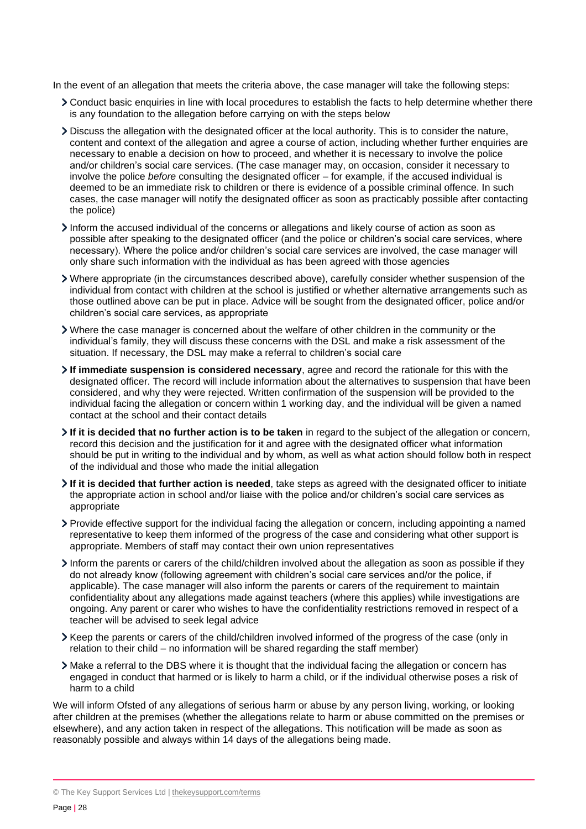In the event of an allegation that meets the criteria above, the case manager will take the following steps:

- Conduct basic enquiries in line with local procedures to establish the facts to help determine whether there is any foundation to the allegation before carrying on with the steps below
- Discuss the allegation with the designated officer at the local authority. This is to consider the nature, content and context of the allegation and agree a course of action, including whether further enquiries are necessary to enable a decision on how to proceed, and whether it is necessary to involve the police and/or children's social care services. (The case manager may, on occasion, consider it necessary to involve the police *before* consulting the designated officer – for example, if the accused individual is deemed to be an immediate risk to children or there is evidence of a possible criminal offence. In such cases, the case manager will notify the designated officer as soon as practicably possible after contacting the police)
- Inform the accused individual of the concerns or allegations and likely course of action as soon as possible after speaking to the designated officer (and the police or children's social care services, where necessary). Where the police and/or children's social care services are involved, the case manager will only share such information with the individual as has been agreed with those agencies
- Where appropriate (in the circumstances described above), carefully consider whether suspension of the individual from contact with children at the school is justified or whether alternative arrangements such as those outlined above can be put in place. Advice will be sought from the designated officer, police and/or children's social care services, as appropriate
- Where the case manager is concerned about the welfare of other children in the community or the individual's family, they will discuss these concerns with the DSL and make a risk assessment of the situation. If necessary, the DSL may make a referral to children's social care
- **If immediate suspension is considered necessary**, agree and record the rationale for this with the designated officer. The record will include information about the alternatives to suspension that have been considered, and why they were rejected. Written confirmation of the suspension will be provided to the individual facing the allegation or concern within 1 working day, and the individual will be given a named contact at the school and their contact details
- **If it is decided that no further action is to be taken** in regard to the subject of the allegation or concern, record this decision and the justification for it and agree with the designated officer what information should be put in writing to the individual and by whom, as well as what action should follow both in respect of the individual and those who made the initial allegation
- **If it is decided that further action is needed**, take steps as agreed with the designated officer to initiate the appropriate action in school and/or liaise with the police and/or children's social care services as appropriate
- Provide effective support for the individual facing the allegation or concern, including appointing a named representative to keep them informed of the progress of the case and considering what other support is appropriate. Members of staff may contact their own union representatives
- Inform the parents or carers of the child/children involved about the allegation as soon as possible if they do not already know (following agreement with children's social care services and/or the police, if applicable). The case manager will also inform the parents or carers of the requirement to maintain confidentiality about any allegations made against teachers (where this applies) while investigations are ongoing. Any parent or carer who wishes to have the confidentiality restrictions removed in respect of a teacher will be advised to seek legal advice
- Keep the parents or carers of the child/children involved informed of the progress of the case (only in relation to their child – no information will be shared regarding the staff member)
- Make a referral to the DBS where it is thought that the individual facing the allegation or concern has engaged in conduct that harmed or is likely to harm a child, or if the individual otherwise poses a risk of harm to a child

We will inform Ofsted of any allegations of serious harm or abuse by any person living, working, or looking after children at the premises (whether the allegations relate to harm or abuse committed on the premises or elsewhere), and any action taken in respect of the allegations. This notification will be made as soon as reasonably possible and always within 14 days of the allegations being made.

<sup>©</sup> The Key Support Services Ltd | [thekeysupport.com/terms](https://thekeysupport.com/terms-of-use)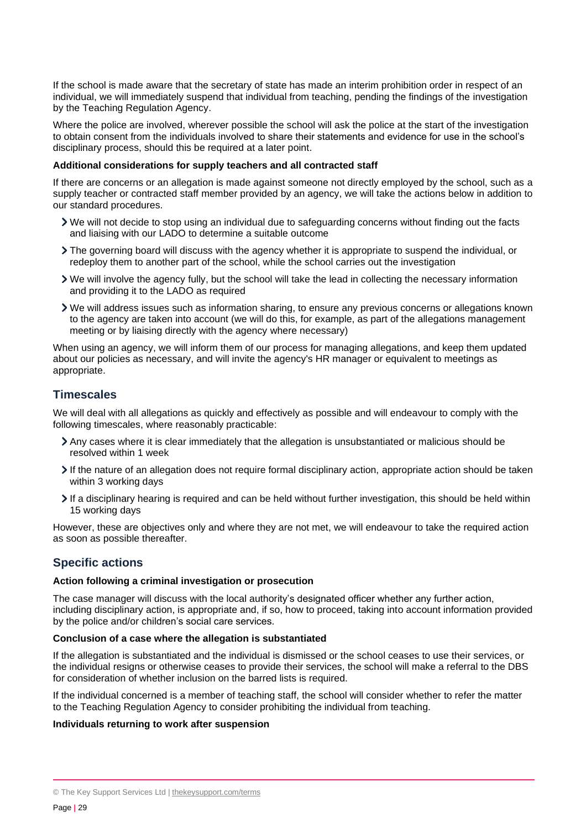If the school is made aware that the secretary of state has made an interim prohibition order in respect of an individual, we will immediately suspend that individual from teaching, pending the findings of the investigation by the Teaching Regulation Agency.

Where the police are involved, wherever possible the school will ask the police at the start of the investigation to obtain consent from the individuals involved to share their statements and evidence for use in the school's disciplinary process, should this be required at a later point.

#### **Additional considerations for supply teachers and all contracted staff**

If there are concerns or an allegation is made against someone not directly employed by the school, such as a supply teacher or contracted staff member provided by an agency, we will take the actions below in addition to our standard procedures.

- We will not decide to stop using an individual due to safeguarding concerns without finding out the facts and liaising with our LADO to determine a suitable outcome
- The governing board will discuss with the agency whether it is appropriate to suspend the individual, or redeploy them to another part of the school, while the school carries out the investigation
- We will involve the agency fully, but the school will take the lead in collecting the necessary information and providing it to the LADO as required
- We will address issues such as information sharing, to ensure any previous concerns or allegations known to the agency are taken into account (we will do this, for example, as part of the allegations management meeting or by liaising directly with the agency where necessary)

When using an agency, we will inform them of our process for managing allegations, and keep them updated about our policies as necessary, and will invite the agency's HR manager or equivalent to meetings as appropriate.

# **Timescales**

We will deal with all allegations as quickly and effectively as possible and will endeavour to comply with the following timescales, where reasonably practicable:

- Any cases where it is clear immediately that the allegation is unsubstantiated or malicious should be resolved within 1 week
- If the nature of an allegation does not require formal disciplinary action, appropriate action should be taken within 3 working days
- If a disciplinary hearing is required and can be held without further investigation, this should be held within 15 working days

However, these are objectives only and where they are not met, we will endeavour to take the required action as soon as possible thereafter.

# **Specific actions**

#### **Action following a criminal investigation or prosecution**

The case manager will discuss with the local authority's designated officer whether any further action, including disciplinary action, is appropriate and, if so, how to proceed, taking into account information provided by the police and/or children's social care services.

#### **Conclusion of a case where the allegation is substantiated**

If the allegation is substantiated and the individual is dismissed or the school ceases to use their services, or the individual resigns or otherwise ceases to provide their services, the school will make a referral to the DBS for consideration of whether inclusion on the barred lists is required.

If the individual concerned is a member of teaching staff, the school will consider whether to refer the matter to the Teaching Regulation Agency to consider prohibiting the individual from teaching.

#### **Individuals returning to work after suspension**

<sup>©</sup> The Key Support Services Ltd | [thekeysupport.com/terms](https://thekeysupport.com/terms-of-use)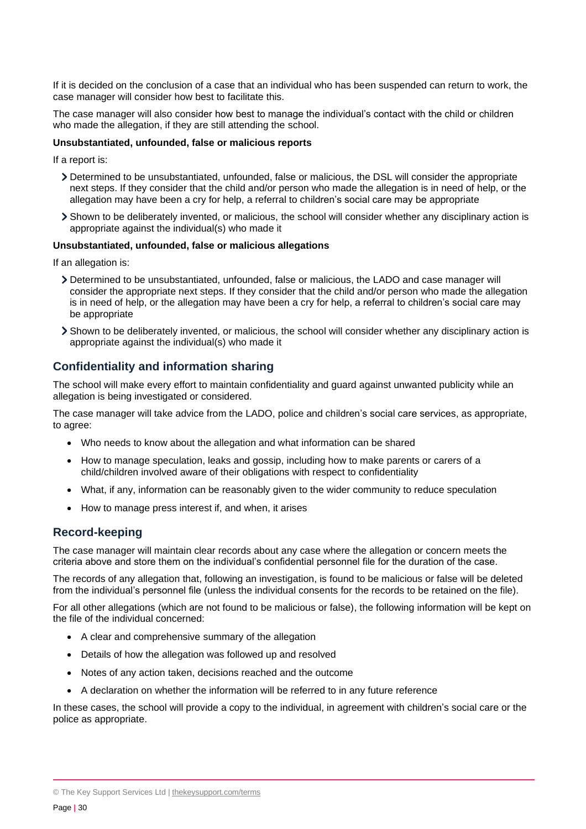If it is decided on the conclusion of a case that an individual who has been suspended can return to work, the case manager will consider how best to facilitate this.

The case manager will also consider how best to manage the individual's contact with the child or children who made the allegation, if they are still attending the school.

#### **Unsubstantiated, unfounded, false or malicious reports**

If a report is:

- Determined to be unsubstantiated, unfounded, false or malicious, the DSL will consider the appropriate next steps. If they consider that the child and/or person who made the allegation is in need of help, or the allegation may have been a cry for help, a referral to children's social care may be appropriate
- Shown to be deliberately invented, or malicious, the school will consider whether any disciplinary action is appropriate against the individual(s) who made it

#### **Unsubstantiated, unfounded, false or malicious allegations**

If an allegation is:

- Determined to be unsubstantiated, unfounded, false or malicious, the LADO and case manager will consider the appropriate next steps. If they consider that the child and/or person who made the allegation is in need of help, or the allegation may have been a cry for help, a referral to children's social care may be appropriate
- Shown to be deliberately invented, or malicious, the school will consider whether any disciplinary action is appropriate against the individual(s) who made it

# **Confidentiality and information sharing**

The school will make every effort to maintain confidentiality and guard against unwanted publicity while an allegation is being investigated or considered.

The case manager will take advice from the LADO, police and children's social care services, as appropriate, to agree:

- Who needs to know about the allegation and what information can be shared
- How to manage speculation, leaks and gossip, including how to make parents or carers of a child/children involved aware of their obligations with respect to confidentiality
- What, if any, information can be reasonably given to the wider community to reduce speculation
- How to manage press interest if, and when, it arises

#### **Record-keeping**

The case manager will maintain clear records about any case where the allegation or concern meets the criteria above and store them on the individual's confidential personnel file for the duration of the case.

The records of any allegation that, following an investigation, is found to be malicious or false will be deleted from the individual's personnel file (unless the individual consents for the records to be retained on the file).

For all other allegations (which are not found to be malicious or false), the following information will be kept on the file of the individual concerned:

- A clear and comprehensive summary of the allegation
- Details of how the allegation was followed up and resolved
- Notes of any action taken, decisions reached and the outcome
- A declaration on whether the information will be referred to in any future reference

In these cases, the school will provide a copy to the individual, in agreement with children's social care or the police as appropriate.

<sup>©</sup> The Key Support Services Ltd | [thekeysupport.com/terms](https://thekeysupport.com/terms-of-use)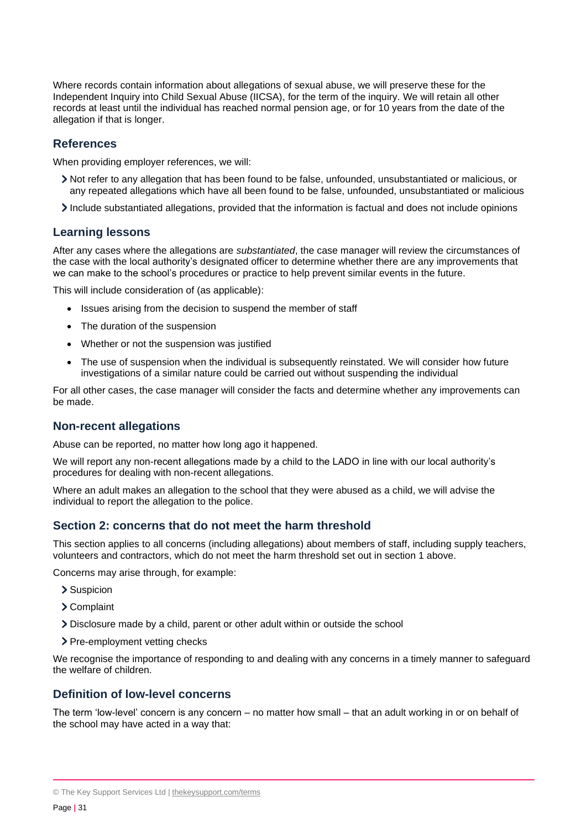Where records contain information about allegations of sexual abuse, we will preserve these for the Independent Inquiry into Child Sexual Abuse (IICSA), for the term of the inquiry. We will retain all other records at least until the individual has reached normal pension age, or for 10 years from the date of the allegation if that is longer.

# **References**

When providing employer references, we will:

- Not refer to any allegation that has been found to be false, unfounded, unsubstantiated or malicious, or any repeated allegations which have all been found to be false, unfounded, unsubstantiated or malicious
- Include substantiated allegations, provided that the information is factual and does not include opinions

# **Learning lessons**

After any cases where the allegations are *substantiated*, the case manager will review the circumstances of the case with the local authority's designated officer to determine whether there are any improvements that we can make to the school's procedures or practice to help prevent similar events in the future.

This will include consideration of (as applicable):

- Issues arising from the decision to suspend the member of staff
- The duration of the suspension
- Whether or not the suspension was justified
- The use of suspension when the individual is subsequently reinstated. We will consider how future investigations of a similar nature could be carried out without suspending the individual

For all other cases, the case manager will consider the facts and determine whether any improvements can be made.

# **Non-recent allegations**

Abuse can be reported, no matter how long ago it happened.

We will report any non-recent allegations made by a child to the LADO in line with our local authority's procedures for dealing with non-recent allegations.

Where an adult makes an allegation to the school that they were abused as a child, we will advise the individual to report the allegation to the police.

# **Section 2: concerns that do not meet the harm threshold**

This section applies to all concerns (including allegations) about members of staff, including supply teachers, volunteers and contractors, which do not meet the harm threshold set out in section 1 above.

Concerns may arise through, for example:

- > Suspicion
- Complaint
- Disclosure made by a child, parent or other adult within or outside the school
- > Pre-employment vetting checks

We recognise the importance of responding to and dealing with any concerns in a timely manner to safeguard the welfare of children.

# **Definition of low-level concerns**

The term 'low-level' concern is any concern – no matter how small – that an adult working in or on behalf of the school may have acted in a way that:

<sup>©</sup> The Key Support Services Ltd | [thekeysupport.com/terms](https://thekeysupport.com/terms-of-use)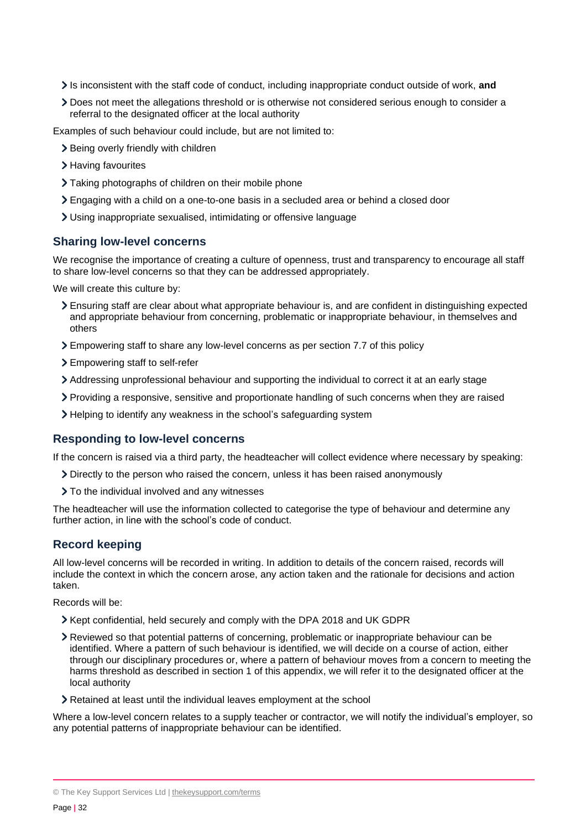- Is inconsistent with the staff code of conduct, including inappropriate conduct outside of work, **and**
- Does not meet the allegations threshold or is otherwise not considered serious enough to consider a referral to the designated officer at the local authority

Examples of such behaviour could include, but are not limited to:

- > Being overly friendly with children
- > Having favourites
- Taking photographs of children on their mobile phone
- Engaging with a child on a one-to-one basis in a secluded area or behind a closed door
- Using inappropriate sexualised, intimidating or offensive language

# **Sharing low-level concerns**

We recognise the importance of creating a culture of openness, trust and transparency to encourage all staff to share low-level concerns so that they can be addressed appropriately.

We will create this culture by:

- Ensuring staff are clear about what appropriate behaviour is, and are confident in distinguishing expected and appropriate behaviour from concerning, problematic or inappropriate behaviour, in themselves and others
- Empowering staff to share any low-level concerns as per section 7.7 of this policy
- Empowering staff to self-refer
- Addressing unprofessional behaviour and supporting the individual to correct it at an early stage
- Providing a responsive, sensitive and proportionate handling of such concerns when they are raised
- > Helping to identify any weakness in the school's safeguarding system

# **Responding to low-level concerns**

If the concern is raised via a third party, the headteacher will collect evidence where necessary by speaking:

- Directly to the person who raised the concern, unless it has been raised anonymously
- > To the individual involved and any witnesses

The headteacher will use the information collected to categorise the type of behaviour and determine any further action, in line with the school's code of conduct.

# **Record keeping**

All low-level concerns will be recorded in writing. In addition to details of the concern raised, records will include the context in which the concern arose, any action taken and the rationale for decisions and action taken.

Records will be:

- Kept confidential, held securely and comply with the DPA 2018 and UK GDPR
- Reviewed so that potential patterns of concerning, problematic or inappropriate behaviour can be identified. Where a pattern of such behaviour is identified, we will decide on a course of action, either through our disciplinary procedures or, where a pattern of behaviour moves from a concern to meeting the harms threshold as described in section 1 of this appendix, we will refer it to the designated officer at the local authority
- Retained at least until the individual leaves employment at the school

Where a low-level concern relates to a supply teacher or contractor, we will notify the individual's employer, so any potential patterns of inappropriate behaviour can be identified.

<sup>©</sup> The Key Support Services Ltd | [thekeysupport.com/terms](https://thekeysupport.com/terms-of-use)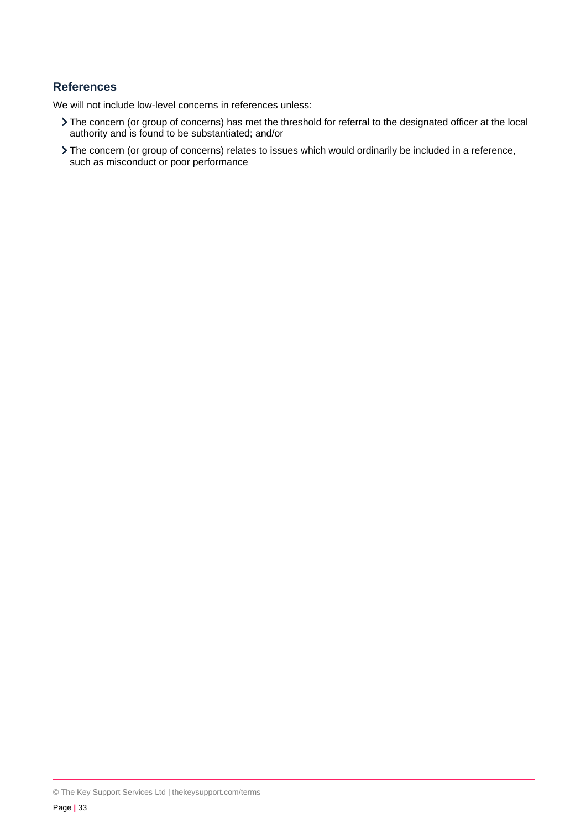# **References**

We will not include low-level concerns in references unless:

- The concern (or group of concerns) has met the threshold for referral to the designated officer at the local authority and is found to be substantiated; and/or
- The concern (or group of concerns) relates to issues which would ordinarily be included in a reference, such as misconduct or poor performance

<sup>©</sup> The Key Support Services Ltd | [thekeysupport.com/terms](https://thekeysupport.com/terms-of-use)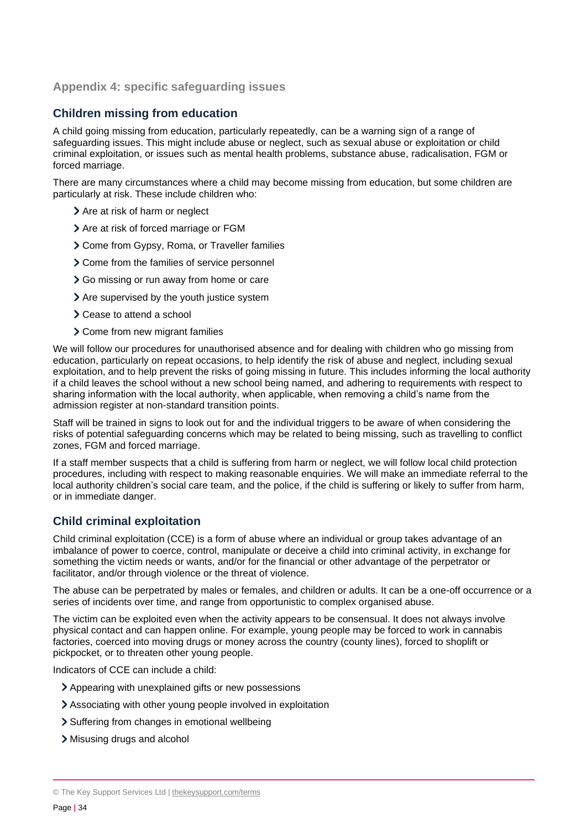# <span id="page-33-0"></span>**Appendix 4: specific safeguarding issues**

# **Children missing from education**

A child going missing from education, particularly repeatedly, can be a warning sign of a range of safeguarding issues. This might include abuse or neglect, such as sexual abuse or exploitation or child criminal exploitation, or issues such as mental health problems, substance abuse, radicalisation, FGM or forced marriage.

There are many circumstances where a child may become missing from education, but some children are particularly at risk. These include children who:

- > Are at risk of harm or neglect
- $\geq$  Are at risk of forced marriage or FGM
- Come from Gypsy, Roma, or Traveller families
- Come from the families of service personnel
- Go missing or run away from home or care
- > Are supervised by the youth justice system
- Cease to attend a school
- Come from new migrant families

We will follow our procedures for unauthorised absence and for dealing with children who go missing from education, particularly on repeat occasions, to help identify the risk of abuse and neglect, including sexual exploitation, and to help prevent the risks of going missing in future. This includes informing the local authority if a child leaves the school without a new school being named, and adhering to requirements with respect to sharing information with the local authority, when applicable, when removing a child's name from the admission register at non-standard transition points.

Staff will be trained in signs to look out for and the individual triggers to be aware of when considering the risks of potential safeguarding concerns which may be related to being missing, such as travelling to conflict zones, FGM and forced marriage.

If a staff member suspects that a child is suffering from harm or neglect, we will follow local child protection procedures, including with respect to making reasonable enquiries. We will make an immediate referral to the local authority children's social care team, and the police, if the child is suffering or likely to suffer from harm, or in immediate danger.

# **Child criminal exploitation**

Child criminal exploitation (CCE) is a form of abuse where an individual or group takes advantage of an imbalance of power to coerce, control, manipulate or deceive a child into criminal activity, in exchange for something the victim needs or wants, and/or for the financial or other advantage of the perpetrator or facilitator, and/or through violence or the threat of violence.

The abuse can be perpetrated by males or females, and children or adults. It can be a one-off occurrence or a series of incidents over time, and range from opportunistic to complex organised abuse.

The victim can be exploited even when the activity appears to be consensual. It does not always involve physical contact and can happen online. For example, young people may be forced to work in cannabis factories, coerced into moving drugs or money across the country (county lines), forced to shoplift or pickpocket, or to threaten other young people.

Indicators of CCE can include a child:

- Appearing with unexplained gifts or new possessions
- Associating with other young people involved in exploitation
- > Suffering from changes in emotional wellbeing
- Misusing drugs and alcohol

<sup>©</sup> The Key Support Services Ltd | [thekeysupport.com/terms](https://thekeysupport.com/terms-of-use)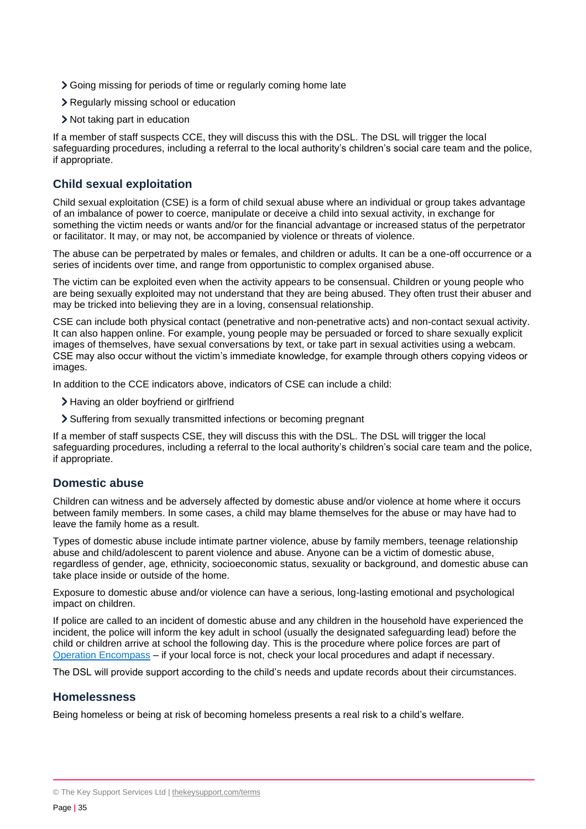- Going missing for periods of time or regularly coming home late
- Regularly missing school or education
- Not taking part in education

If a member of staff suspects CCE, they will discuss this with the DSL. The DSL will trigger the local safeguarding procedures, including a referral to the local authority's children's social care team and the police, if appropriate.

# **Child sexual exploitation**

Child sexual exploitation (CSE) is a form of child sexual abuse where an individual or group takes advantage of an imbalance of power to coerce, manipulate or deceive a child into sexual activity, in exchange for something the victim needs or wants and/or for the financial advantage or increased status of the perpetrator or facilitator. It may, or may not, be accompanied by violence or threats of violence.

The abuse can be perpetrated by males or females, and children or adults. It can be a one-off occurrence or a series of incidents over time, and range from opportunistic to complex organised abuse.

The victim can be exploited even when the activity appears to be consensual. Children or young people who are being sexually exploited may not understand that they are being abused. They often trust their abuser and may be tricked into believing they are in a loving, consensual relationship.

CSE can include both physical contact (penetrative and non-penetrative acts) and non-contact sexual activity. It can also happen online. For example, young people may be persuaded or forced to share sexually explicit images of themselves, have sexual conversations by text, or take part in sexual activities using a webcam. CSE may also occur without the victim's immediate knowledge, for example through others copying videos or images.

In addition to the CCE indicators above, indicators of CSE can include a child:

- > Having an older boyfriend or girlfriend
- Suffering from sexually transmitted infections or becoming pregnant

If a member of staff suspects CSE, they will discuss this with the DSL. The DSL will trigger the local safeguarding procedures, including a referral to the local authority's children's social care team and the police, if appropriate.

# **Domestic abuse**

Children can witness and be adversely affected by domestic abuse and/or violence at home where it occurs between family members. In some cases, a child may blame themselves for the abuse or may have had to leave the family home as a result.

Types of domestic abuse include intimate partner violence, abuse by family members, teenage relationship abuse and child/adolescent to parent violence and abuse. Anyone can be a victim of domestic abuse, regardless of gender, age, ethnicity, socioeconomic status, sexuality or background, and domestic abuse can take place inside or outside of the home.

Exposure to domestic abuse and/or violence can have a serious, long-lasting emotional and psychological impact on children.

If police are called to an incident of domestic abuse and any children in the household have experienced the incident, the police will inform the key adult in school (usually the designated safeguarding lead) before the child or children arrive at school the following day. This is the procedure where police forces are part of Operation [Encompass](https://www.operationencompass.org/) – if your local force is not, check your local procedures and adapt if necessary.

The DSL will provide support according to the child's needs and update records about their circumstances.

# **Homelessness**

Being homeless or being at risk of becoming homeless presents a real risk to a child's welfare.

<sup>©</sup> The Key Support Services Ltd | [thekeysupport.com/terms](https://thekeysupport.com/terms-of-use)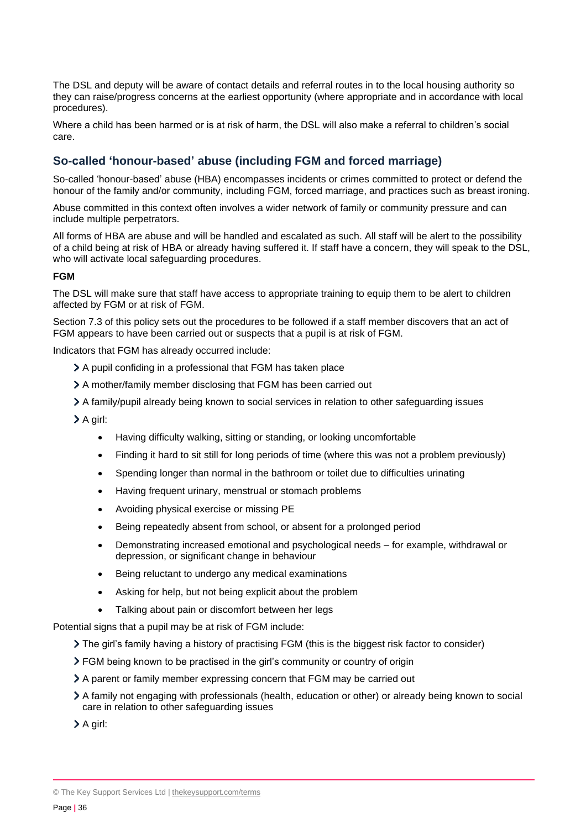The DSL and deputy will be aware of contact details and referral routes in to the local housing authority so they can raise/progress concerns at the earliest opportunity (where appropriate and in accordance with local procedures).

Where a child has been harmed or is at risk of harm, the DSL will also make a referral to children's social care.

# **So-called 'honour-based' abuse (including FGM and forced marriage)**

So-called 'honour-based' abuse (HBA) encompasses incidents or crimes committed to protect or defend the honour of the family and/or community, including FGM, forced marriage, and practices such as breast ironing.

Abuse committed in this context often involves a wider network of family or community pressure and can include multiple perpetrators.

All forms of HBA are abuse and will be handled and escalated as such. All staff will be alert to the possibility of a child being at risk of HBA or already having suffered it. If staff have a concern, they will speak to the DSL, who will activate local safeguarding procedures.

#### **FGM**

The DSL will make sure that staff have access to appropriate training to equip them to be alert to children affected by FGM or at risk of FGM.

Section 7.3 of this policy sets out the procedures to be followed if a staff member discovers that an act of FGM appears to have been carried out or suspects that a pupil is at risk of FGM.

Indicators that FGM has already occurred include:

- A pupil confiding in a professional that FGM has taken place
- A mother/family member disclosing that FGM has been carried out
- A family/pupil already being known to social services in relation to other safeguarding issues

A girl:

- Having difficulty walking, sitting or standing, or looking uncomfortable
- Finding it hard to sit still for long periods of time (where this was not a problem previously)
- Spending longer than normal in the bathroom or toilet due to difficulties urinating
- Having frequent urinary, menstrual or stomach problems
- Avoiding physical exercise or missing PE
- Being repeatedly absent from school, or absent for a prolonged period
- Demonstrating increased emotional and psychological needs for example, withdrawal or depression, or significant change in behaviour
- Being reluctant to undergo any medical examinations
- Asking for help, but not being explicit about the problem
- Talking about pain or discomfort between her legs

Potential signs that a pupil may be at risk of FGM include:

The girl's family having a history of practising FGM (this is the biggest risk factor to consider)

- FGM being known to be practised in the girl's community or country of origin
- A parent or family member expressing concern that FGM may be carried out
- A family not engaging with professionals (health, education or other) or already being known to social care in relation to other safeguarding issues

A girl:

© The Key Support Services Ltd | [thekeysupport.com/terms](https://thekeysupport.com/terms-of-use)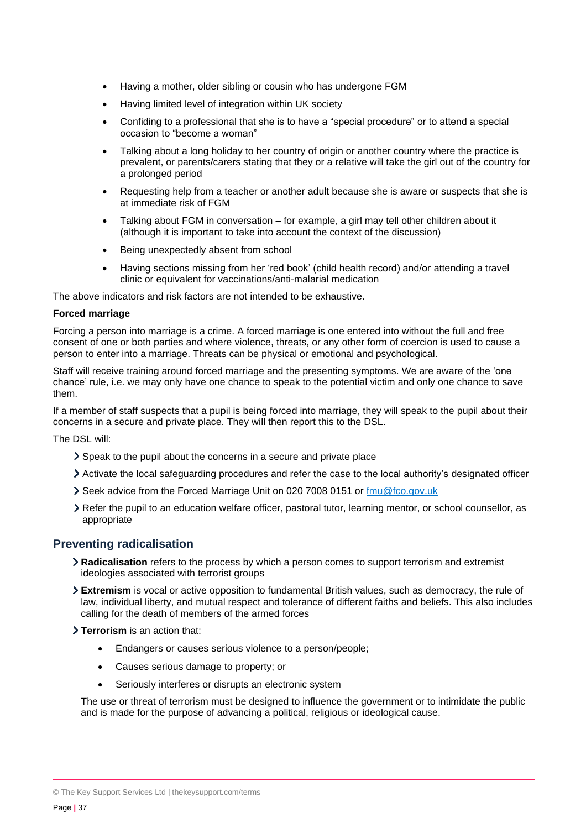- Having a mother, older sibling or cousin who has undergone FGM
- Having limited level of integration within UK society
- Confiding to a professional that she is to have a "special procedure" or to attend a special occasion to "become a woman"
- Talking about a long holiday to her country of origin or another country where the practice is prevalent, or parents/carers stating that they or a relative will take the girl out of the country for a prolonged period
- Requesting help from a teacher or another adult because she is aware or suspects that she is at immediate risk of FGM
- Talking about FGM in conversation for example, a girl may tell other children about it (although it is important to take into account the context of the discussion)
- Being unexpectedly absent from school
- Having sections missing from her 'red book' (child health record) and/or attending a travel clinic or equivalent for vaccinations/anti-malarial medication

The above indicators and risk factors are not intended to be exhaustive.

#### **Forced marriage**

Forcing a person into marriage is a crime. A forced marriage is one entered into without the full and free consent of one or both parties and where violence, threats, or any other form of coercion is used to cause a person to enter into a marriage. Threats can be physical or emotional and psychological.

Staff will receive training around forced marriage and the presenting symptoms. We are aware of the 'one chance' rule, i.e. we may only have one chance to speak to the potential victim and only one chance to save them.

If a member of staff suspects that a pupil is being forced into marriage, they will speak to the pupil about their concerns in a secure and private place. They will then report this to the DSL.

The DSL will:

- Speak to the pupil about the concerns in a secure and private place
- Activate the local safeguarding procedures and refer the case to the local authority's designated officer
- Seek advice from the Forced Marriage Unit on 020 7008 0151 or [fmu@fco.gov.uk](mailto:fmu@fco.gov.uk)
- Refer the pupil to an education welfare officer, pastoral tutor, learning mentor, or school counsellor, as appropriate

# **Preventing radicalisation**

- **Radicalisation** refers to the process by which a person comes to support terrorism and extremist ideologies associated with terrorist groups
- **Extremism** is vocal or active opposition to fundamental British values, such as democracy, the rule of law, individual liberty, and mutual respect and tolerance of different faiths and beliefs. This also includes calling for the death of members of the armed forces

**Terrorism** is an action that:

- Endangers or causes serious violence to a person/people;
- Causes serious damage to property; or
- Seriously interferes or disrupts an electronic system

The use or threat of terrorism must be designed to influence the government or to intimidate the public and is made for the purpose of advancing a political, religious or ideological cause.

<sup>©</sup> The Key Support Services Ltd | [thekeysupport.com/terms](https://thekeysupport.com/terms-of-use)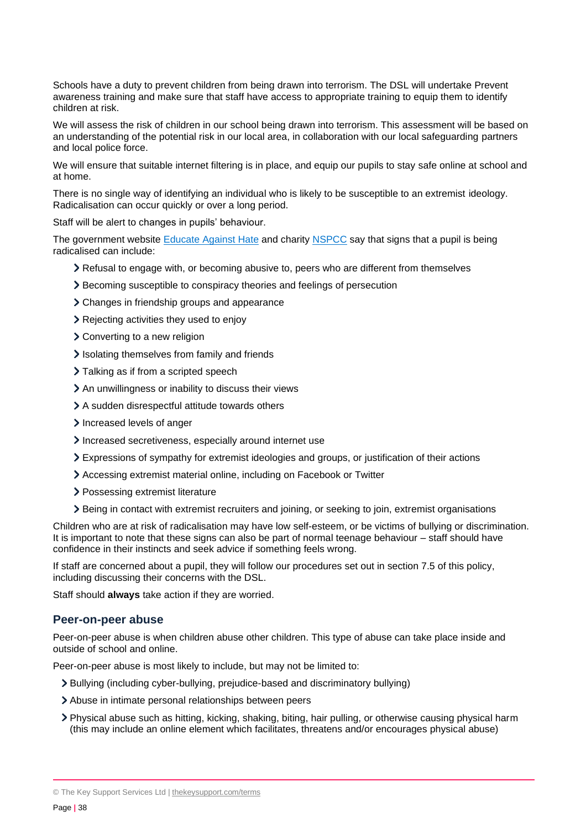Schools have a duty to prevent children from being drawn into terrorism. The DSL will undertake Prevent awareness training and make sure that staff have access to appropriate training to equip them to identify children at risk.

We will assess the risk of children in our school being drawn into terrorism. This assessment will be based on an understanding of the potential risk in our local area, in collaboration with our local safeguarding partners and local police force.

We will ensure that suitable internet filtering is in place, and equip our pupils to stay safe online at school and at home.

There is no single way of identifying an individual who is likely to be susceptible to an extremist ideology. Radicalisation can occur quickly or over a long period.

Staff will be alert to changes in pupils' behaviour.

The government website [Educate Against](http://educateagainsthate.com/parents/what-are-the-warning-signs/) Hate and charity [NSPCC](https://www.nspcc.org.uk/what-you-can-do/report-abuse/dedicated-helplines/protecting-children-from-radicalisation/) say that signs that a pupil is being radicalised can include:

- Refusal to engage with, or becoming abusive to, peers who are different from themselves
- Becoming susceptible to conspiracy theories and feelings of persecution
- > Changes in friendship groups and appearance
- Rejecting activities they used to enjoy
- Converting to a new religion
- Isolating themselves from family and friends
- > Talking as if from a scripted speech
- An unwillingness or inability to discuss their views
- A sudden disrespectful attitude towards others
- Increased levels of anger
- Increased secretiveness, especially around internet use
- Expressions of sympathy for extremist ideologies and groups, or justification of their actions
- Accessing extremist material online, including on Facebook or Twitter
- > Possessing extremist literature
- Being in contact with extremist recruiters and joining, or seeking to join, extremist organisations

Children who are at risk of radicalisation may have low self-esteem, or be victims of bullying or discrimination. It is important to note that these signs can also be part of normal teenage behaviour – staff should have confidence in their instincts and seek advice if something feels wrong.

If staff are concerned about a pupil, they will follow our procedures set out in section 7.5 of this policy, including discussing their concerns with the DSL.

Staff should **always** take action if they are worried.

#### **Peer-on-peer abuse**

Peer-on-peer abuse is when children abuse other children. This type of abuse can take place inside and outside of school and online.

Peer-on-peer abuse is most likely to include, but may not be limited to:

- Bullying (including cyber-bullying, prejudice-based and discriminatory bullying)
- Abuse in intimate personal relationships between peers
- Physical abuse such as hitting, kicking, shaking, biting, hair pulling, or otherwise causing physical harm (this may include an online element which facilitates, threatens and/or encourages physical abuse)

<sup>©</sup> The Key Support Services Ltd | [thekeysupport.com/terms](https://thekeysupport.com/terms-of-use)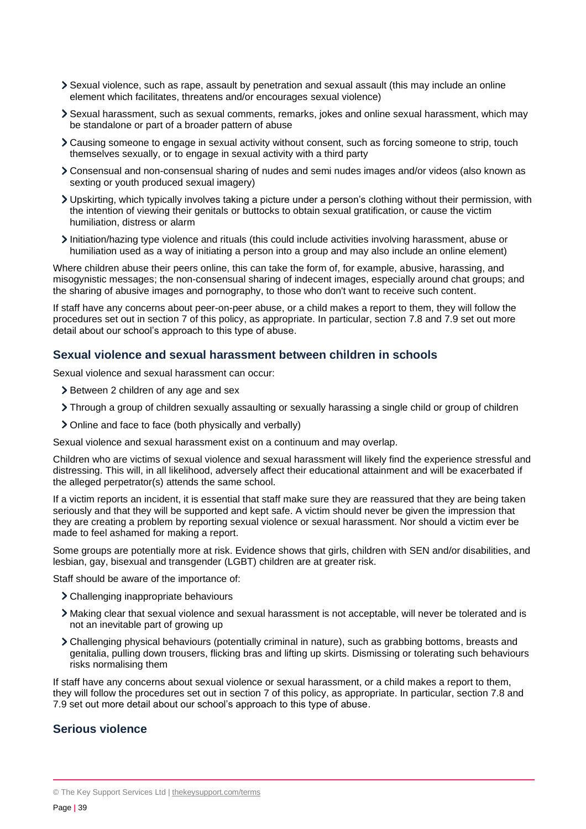- Sexual violence, such as rape, assault by penetration and sexual assault (this may include an online element which facilitates, threatens and/or encourages sexual violence)
- Sexual harassment, such as sexual comments, remarks, jokes and online sexual harassment, which may be standalone or part of a broader pattern of abuse
- Causing someone to engage in sexual activity without consent, such as forcing someone to strip, touch themselves sexually, or to engage in sexual activity with a third party
- Consensual and non-consensual sharing of nudes and semi nudes images and/or videos (also known as sexting or youth produced sexual imagery)
- Upskirting, which typically involves taking a picture under a person's clothing without their permission, with the intention of viewing their genitals or buttocks to obtain sexual gratification, or cause the victim humiliation, distress or alarm
- Initiation/hazing type violence and rituals (this could include activities involving harassment, abuse or humiliation used as a way of initiating a person into a group and may also include an online element)

Where children abuse their peers online, this can take the form of, for example, abusive, harassing, and misogynistic messages; the non-consensual sharing of indecent images, especially around chat groups; and the sharing of abusive images and pornography, to those who don't want to receive such content.

If staff have any concerns about peer-on-peer abuse, or a child makes a report to them, they will follow the procedures set out in section 7 of this policy, as appropriate. In particular, section 7.8 and 7.9 set out more detail about our school's approach to this type of abuse.

# **Sexual violence and sexual harassment between children in schools**

Sexual violence and sexual harassment can occur:

- Solution 2 children of any age and sex
- Through a group of children sexually assaulting or sexually harassing a single child or group of children
- Online and face to face (both physically and verbally)

Sexual violence and sexual harassment exist on a continuum and may overlap.

Children who are victims of sexual violence and sexual harassment will likely find the experience stressful and distressing. This will, in all likelihood, adversely affect their educational attainment and will be exacerbated if the alleged perpetrator(s) attends the same school.

If a victim reports an incident, it is essential that staff make sure they are reassured that they are being taken seriously and that they will be supported and kept safe. A victim should never be given the impression that they are creating a problem by reporting sexual violence or sexual harassment. Nor should a victim ever be made to feel ashamed for making a report.

Some groups are potentially more at risk. Evidence shows that girls, children with SEN and/or disabilities, and lesbian, gay, bisexual and transgender (LGBT) children are at greater risk.

Staff should be aware of the importance of:

- Challenging inappropriate behaviours
- Making clear that sexual violence and sexual harassment is not acceptable, will never be tolerated and is not an inevitable part of growing up
- Challenging physical behaviours (potentially criminal in nature), such as grabbing bottoms, breasts and genitalia, pulling down trousers, flicking bras and lifting up skirts. Dismissing or tolerating such behaviours risks normalising them

If staff have any concerns about sexual violence or sexual harassment, or a child makes a report to them, they will follow the procedures set out in section 7 of this policy, as appropriate. In particular, section 7.8 and 7.9 set out more detail about our school's approach to this type of abuse.

# **Serious violence**

<sup>©</sup> The Key Support Services Ltd | [thekeysupport.com/terms](https://thekeysupport.com/terms-of-use)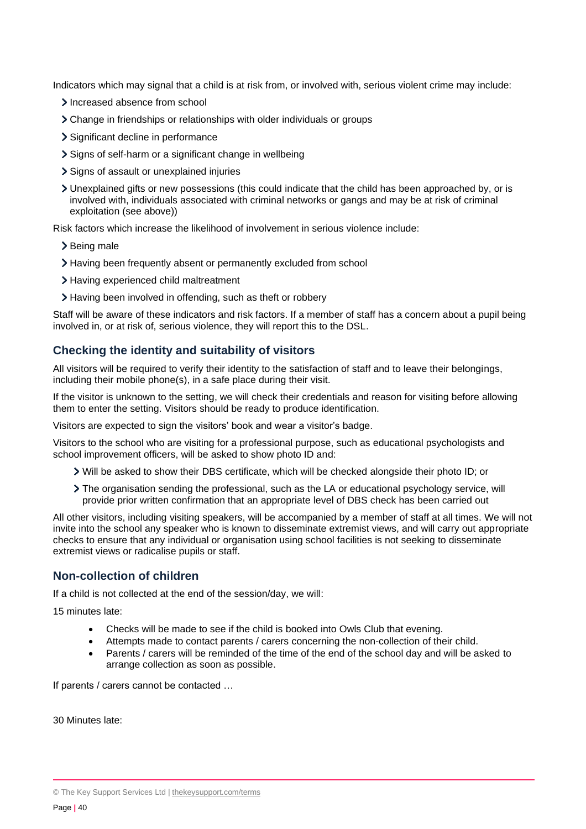Indicators which may signal that a child is at risk from, or involved with, serious violent crime may include:

- > Increased absence from school
- Change in friendships or relationships with older individuals or groups
- Significant decline in performance
- Signs of self-harm or a significant change in wellbeing
- > Signs of assault or unexplained injuries
- Unexplained gifts or new possessions (this could indicate that the child has been approached by, or is involved with, individuals associated with criminal networks or gangs and may be at risk of criminal exploitation (see above))

Risk factors which increase the likelihood of involvement in serious violence include:

- > Being male
- Having been frequently absent or permanently excluded from school
- > Having experienced child maltreatment
- Having been involved in offending, such as theft or robbery

Staff will be aware of these indicators and risk factors. If a member of staff has a concern about a pupil being involved in, or at risk of, serious violence, they will report this to the DSL.

# **Checking the identity and suitability of visitors**

All visitors will be required to verify their identity to the satisfaction of staff and to leave their belongings, including their mobile phone(s), in a safe place during their visit.

If the visitor is unknown to the setting, we will check their credentials and reason for visiting before allowing them to enter the setting. Visitors should be ready to produce identification.

Visitors are expected to sign the visitors' book and wear a visitor's badge.

Visitors to the school who are visiting for a professional purpose, such as educational psychologists and school improvement officers, will be asked to show photo ID and:

- Will be asked to show their DBS certificate, which will be checked alongside their photo ID; or
- The organisation sending the professional, such as the LA or educational psychology service, will provide prior written confirmation that an appropriate level of DBS check has been carried out

All other visitors, including visiting speakers, will be accompanied by a member of staff at all times. We will not invite into the school any speaker who is known to disseminate extremist views, and will carry out appropriate checks to ensure that any individual or organisation using school facilities is not seeking to disseminate extremist views or radicalise pupils or staff.

# **Non-collection of children**

If a child is not collected at the end of the session/day, we will:

15 minutes late:

- Checks will be made to see if the child is booked into Owls Club that evening.
- Attempts made to contact parents / carers concerning the non-collection of their child.
- Parents / carers will be reminded of the time of the end of the school day and will be asked to arrange collection as soon as possible.

If parents / carers cannot be contacted …

30 Minutes late:

<sup>©</sup> The Key Support Services Ltd | [thekeysupport.com/terms](https://thekeysupport.com/terms-of-use)